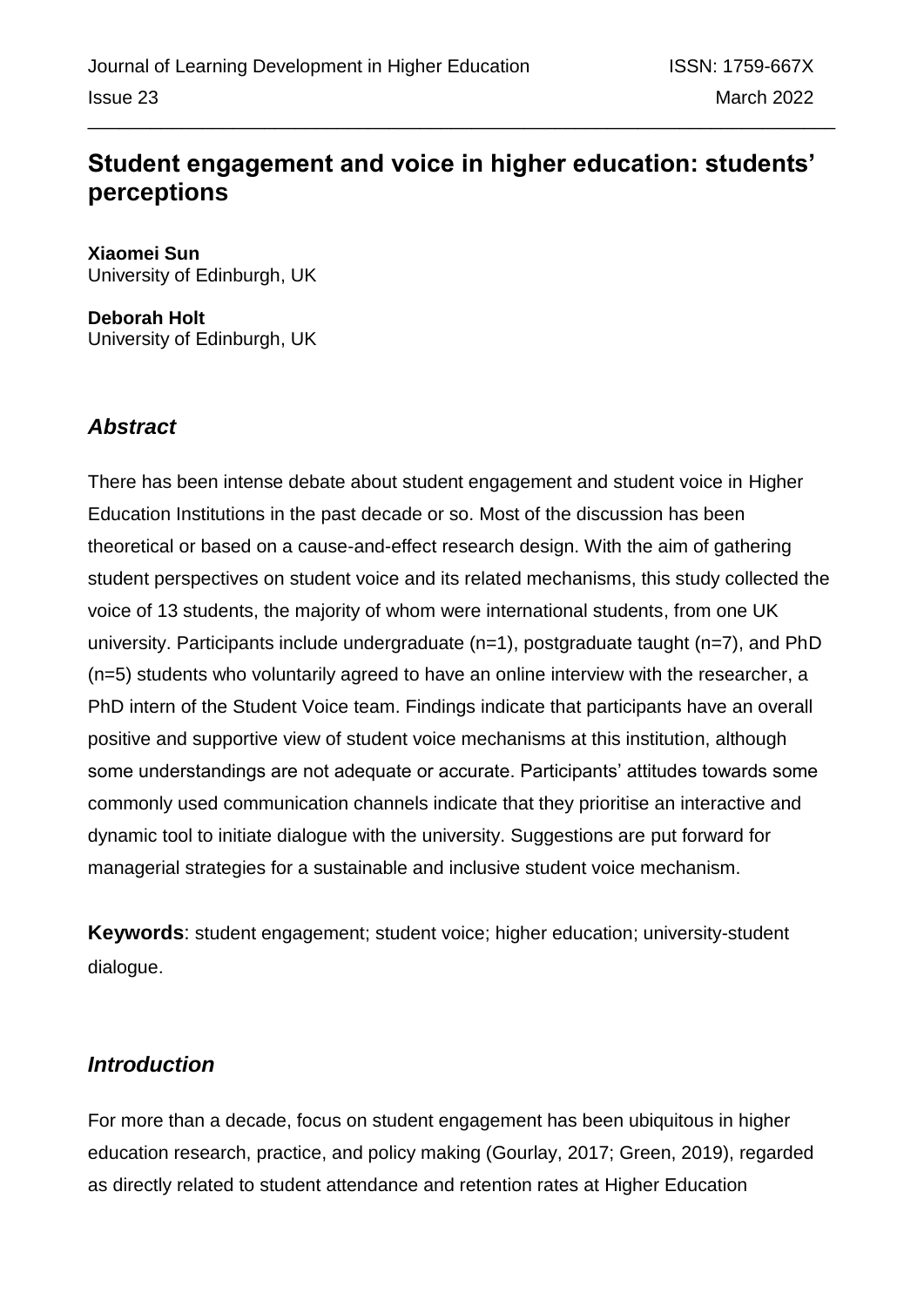# **Student engagement and voice in higher education: students' perceptions**

**Xiaomei Sun** University of Edinburgh, UK

**Deborah Holt** University of Edinburgh, UK

# *Abstract*

There has been intense debate about student engagement and student voice in Higher Education Institutions in the past decade or so. Most of the discussion has been theoretical or based on a cause-and-effect research design. With the aim of gathering student perspectives on student voice and its related mechanisms, this study collected the voice of 13 students, the majority of whom were international students, from one UK university. Participants include undergraduate (n=1), postgraduate taught (n=7), and PhD (n=5) students who voluntarily agreed to have an online interview with the researcher, a PhD intern of the Student Voice team. Findings indicate that participants have an overall positive and supportive view of student voice mechanisms at this institution, although some understandings are not adequate or accurate. Participants' attitudes towards some commonly used communication channels indicate that they prioritise an interactive and dynamic tool to initiate dialogue with the university. Suggestions are put forward for managerial strategies for a sustainable and inclusive student voice mechanism.

**Keywords**: student engagement; student voice; higher education; university-student dialogue.

# *Introduction*

For more than a decade, focus on student engagement has been ubiquitous in higher education research, practice, and policy making (Gourlay, 2017; Green, 2019), regarded as directly related to student attendance and retention rates at Higher Education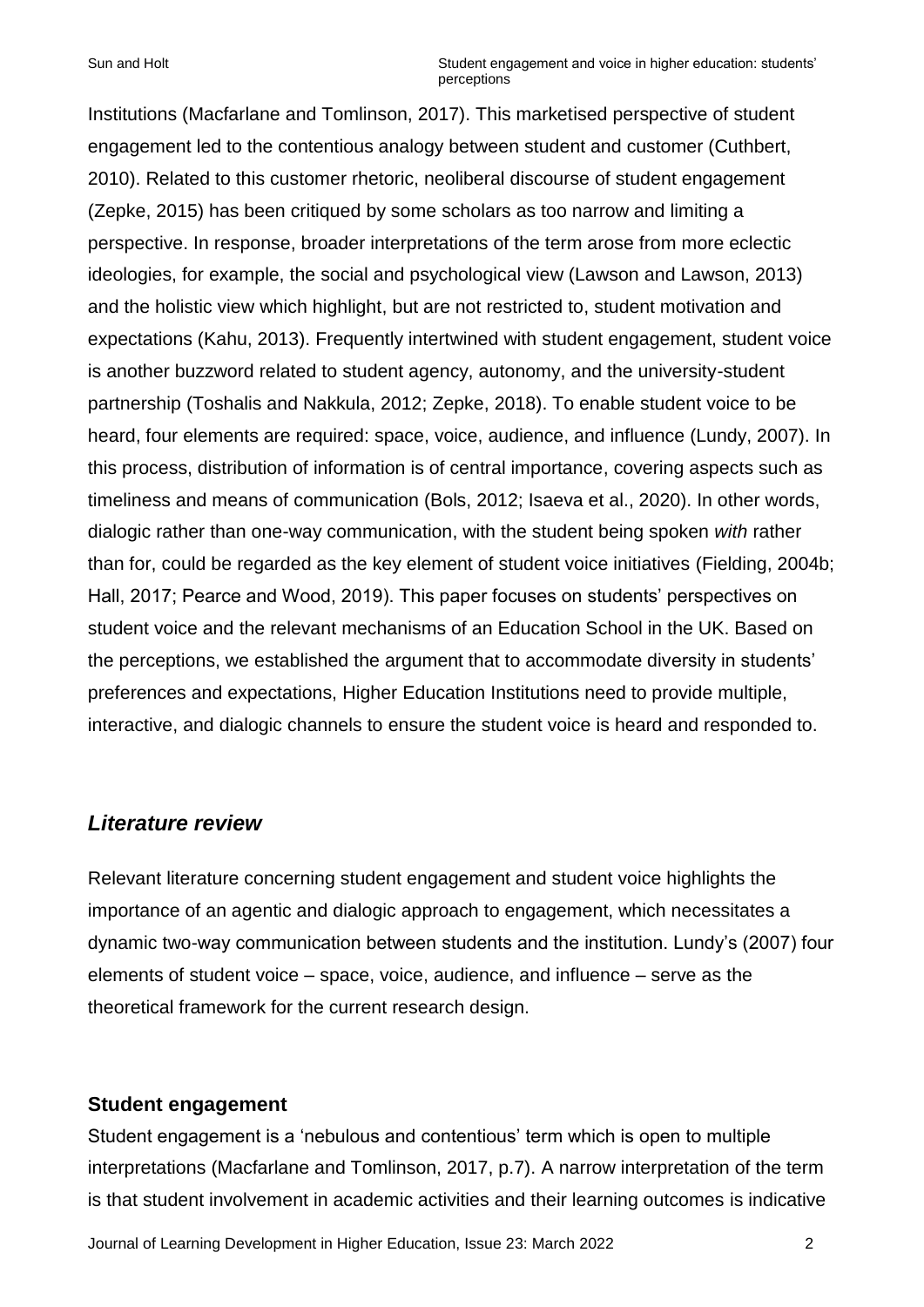Institutions (Macfarlane and Tomlinson, 2017). This marketised perspective of student engagement led to the contentious analogy between student and customer (Cuthbert, 2010). Related to this customer rhetoric, neoliberal discourse of student engagement (Zepke, 2015) has been critiqued by some scholars as too narrow and limiting a perspective. In response, broader interpretations of the term arose from more eclectic ideologies, for example, the social and psychological view (Lawson and Lawson, 2013) and the holistic view which highlight, but are not restricted to, student motivation and expectations (Kahu, 2013). Frequently intertwined with student engagement, student voice is another buzzword related to student agency, autonomy, and the university-student partnership (Toshalis and Nakkula, 2012; Zepke, 2018). To enable student voice to be heard, four elements are required: space, voice, audience, and influence (Lundy, 2007). In this process, distribution of information is of central importance, covering aspects such as timeliness and means of communication (Bols, 2012; Isaeva et al., 2020). In other words, dialogic rather than one-way communication, with the student being spoken *with* rather than for, could be regarded as the key element of student voice initiatives (Fielding, 2004b; Hall, 2017; Pearce and Wood, 2019). This paper focuses on students' perspectives on student voice and the relevant mechanisms of an Education School in the UK. Based on the perceptions, we established the argument that to accommodate diversity in students' preferences and expectations, Higher Education Institutions need to provide multiple, interactive, and dialogic channels to ensure the student voice is heard and responded to.

### *Literature review*

Relevant literature concerning student engagement and student voice highlights the importance of an agentic and dialogic approach to engagement, which necessitates a dynamic two-way communication between students and the institution. Lundy's (2007) four elements of student voice – space, voice, audience, and influence – serve as the theoretical framework for the current research design.

### **Student engagement**

Student engagement is a 'nebulous and contentious' term which is open to multiple interpretations (Macfarlane and Tomlinson, 2017, p.7). A narrow interpretation of the term is that student involvement in academic activities and their learning outcomes is indicative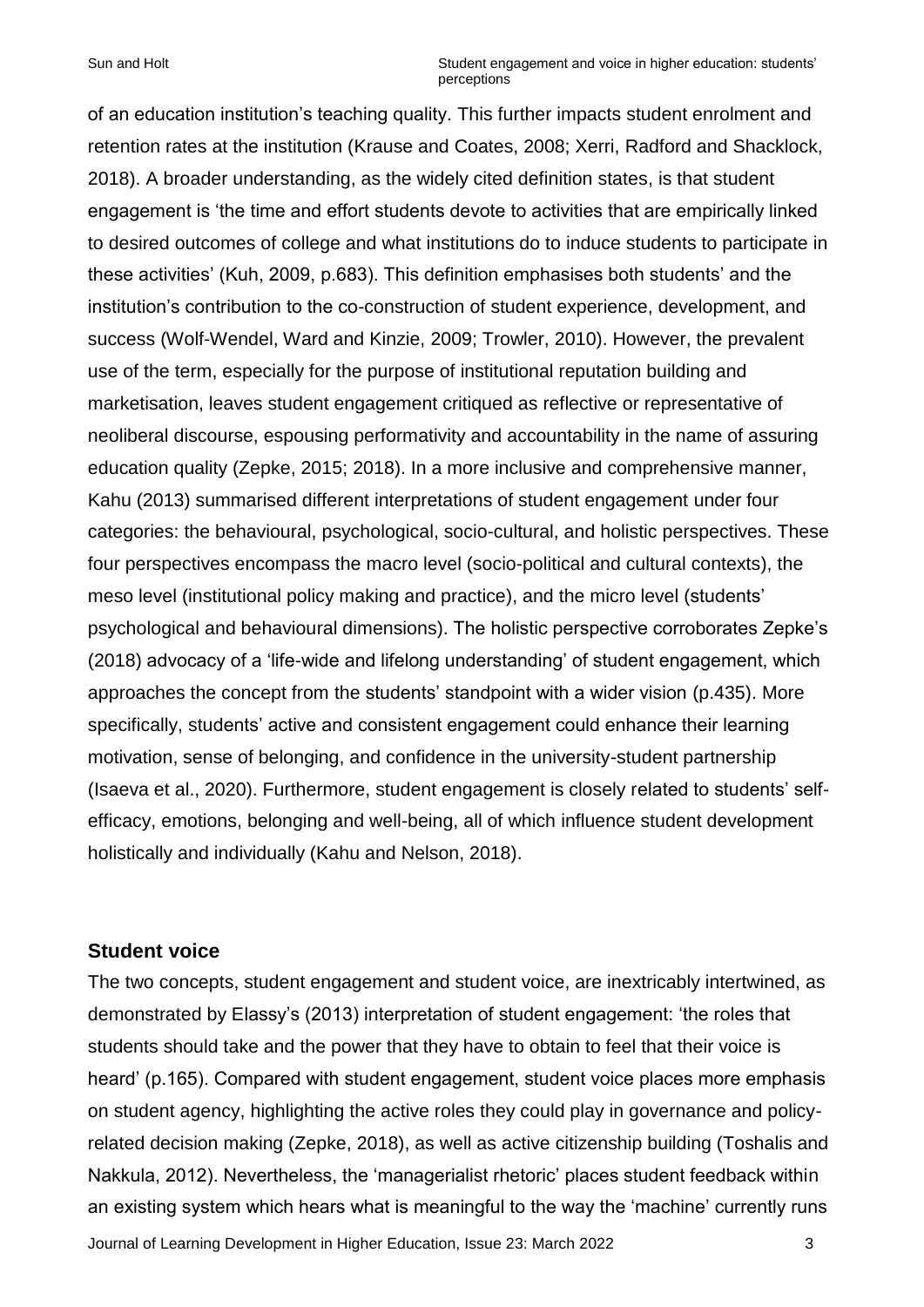of an education institution's teaching quality. This further impacts student enrolment and retention rates at the institution (Krause and Coates, 2008; Xerri, Radford and Shacklock, 2018). A broader understanding, as the widely cited definition states, is that student engagement is 'the time and effort students devote to activities that are empirically linked to desired outcomes of college and what institutions do to induce students to participate in these activities' (Kuh, 2009, p.683). This definition emphasises both students' and the institution's contribution to the co-construction of student experience, development, and success (Wolf-Wendel, Ward and Kinzie, 2009; Trowler, 2010). However, the prevalent use of the term, especially for the purpose of institutional reputation building and marketisation, leaves student engagement critiqued as reflective or representative of neoliberal discourse, espousing performativity and accountability in the name of assuring education quality (Zepke, 2015; 2018). In a more inclusive and comprehensive manner, Kahu (2013) summarised different interpretations of student engagement under four categories: the behavioural, psychological, socio-cultural, and holistic perspectives. These four perspectives encompass the macro level (socio-political and cultural contexts), the meso level (institutional policy making and practice), and the micro level (students' psychological and behavioural dimensions). The holistic perspective corroborates Zepke's (2018) advocacy of a 'life-wide and lifelong understanding' of student engagement, which approaches the concept from the students' standpoint with a wider vision (p.435). More specifically, students' active and consistent engagement could enhance their learning motivation, sense of belonging, and confidence in the university-student partnership (Isaeva et al., 2020). Furthermore, student engagement is closely related to students' selfefficacy, emotions, belonging and well-being, all of which influence student development holistically and individually (Kahu and Nelson, 2018).

### **Student voice**

Journal of Learning Development in Higher Education, Issue 23: March 2022 3 The two concepts, student engagement and student voice, are inextricably intertwined, as demonstrated by Elassy's (2013) interpretation of student engagement: 'the roles that students should take and the power that they have to obtain to feel that their voice is heard' (p.165). Compared with student engagement, student voice places more emphasis on student agency, highlighting the active roles they could play in governance and policyrelated decision making (Zepke, 2018), as well as active citizenship building (Toshalis and Nakkula, 2012). Nevertheless, the 'managerialist rhetoric' places student feedback within an existing system which hears what is meaningful to the way the 'machine' currently runs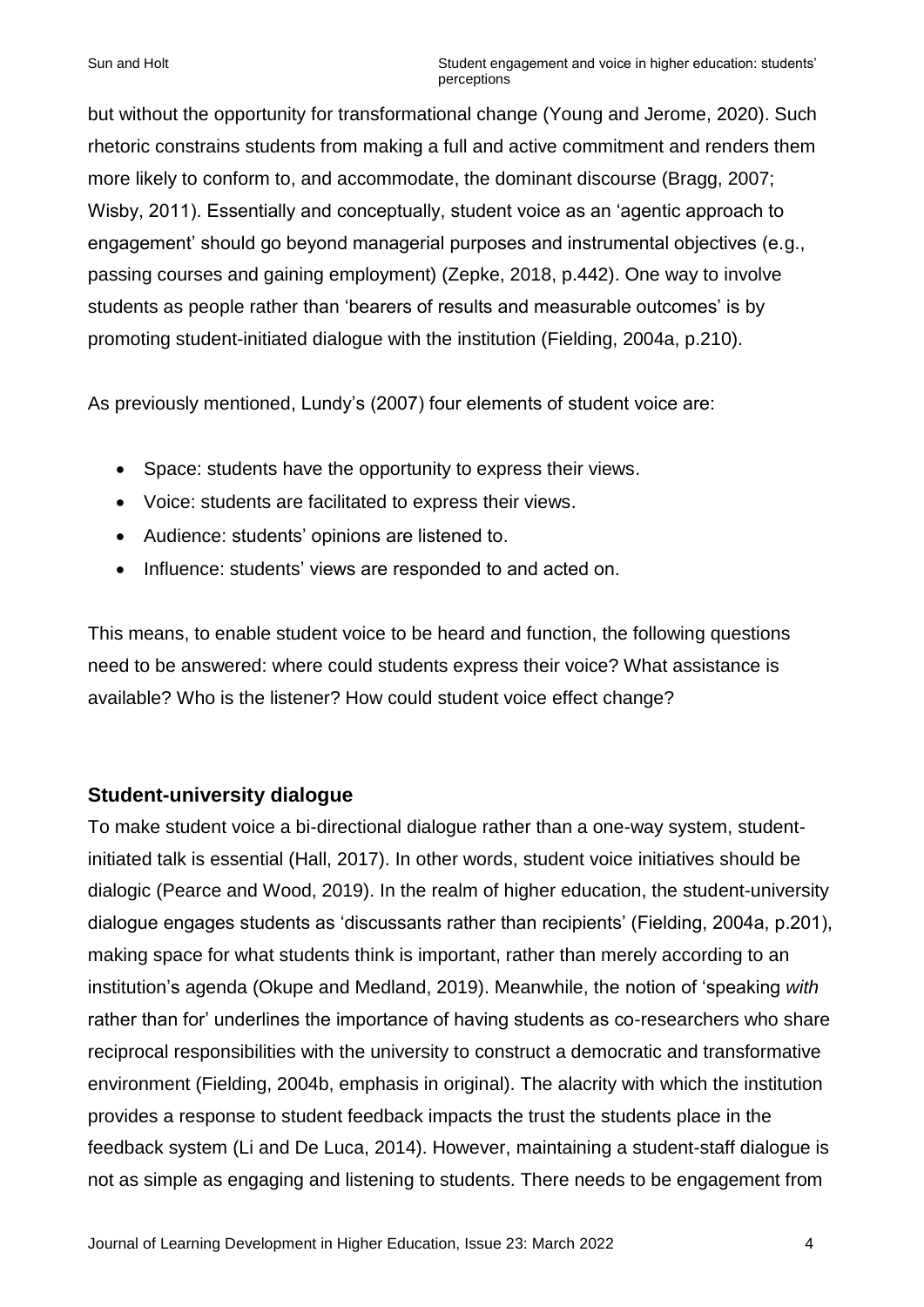but without the opportunity for transformational change (Young and Jerome, 2020). Such rhetoric constrains students from making a full and active commitment and renders them more likely to conform to, and accommodate, the dominant discourse (Bragg, 2007; Wisby, 2011). Essentially and conceptually, student voice as an 'agentic approach to engagement' should go beyond managerial purposes and instrumental objectives (e.g., passing courses and gaining employment) (Zepke, 2018, p.442). One way to involve students as people rather than 'bearers of results and measurable outcomes' is by promoting student-initiated dialogue with the institution (Fielding, 2004a, p.210).

As previously mentioned, Lundy's (2007) four elements of student voice are:

- Space: students have the opportunity to express their views.
- Voice: students are facilitated to express their views.
- Audience: students' opinions are listened to.
- Influence: students' views are responded to and acted on.

This means, to enable student voice to be heard and function, the following questions need to be answered: where could students express their voice? What assistance is available? Who is the listener? How could student voice effect change?

### **Student-university dialogue**

To make student voice a bi-directional dialogue rather than a one-way system, studentinitiated talk is essential (Hall, 2017). In other words, student voice initiatives should be dialogic (Pearce and Wood, 2019). In the realm of higher education, the student-university dialogue engages students as 'discussants rather than recipients' (Fielding, 2004a, p.201), making space for what students think is important, rather than merely according to an institution's agenda (Okupe and Medland, 2019). Meanwhile, the notion of 'speaking *with*  rather than for' underlines the importance of having students as co-researchers who share reciprocal responsibilities with the university to construct a democratic and transformative environment (Fielding, 2004b, emphasis in original). The alacrity with which the institution provides a response to student feedback impacts the trust the students place in the feedback system (Li and De Luca, 2014). However, maintaining a student-staff dialogue is not as simple as engaging and listening to students. There needs to be engagement from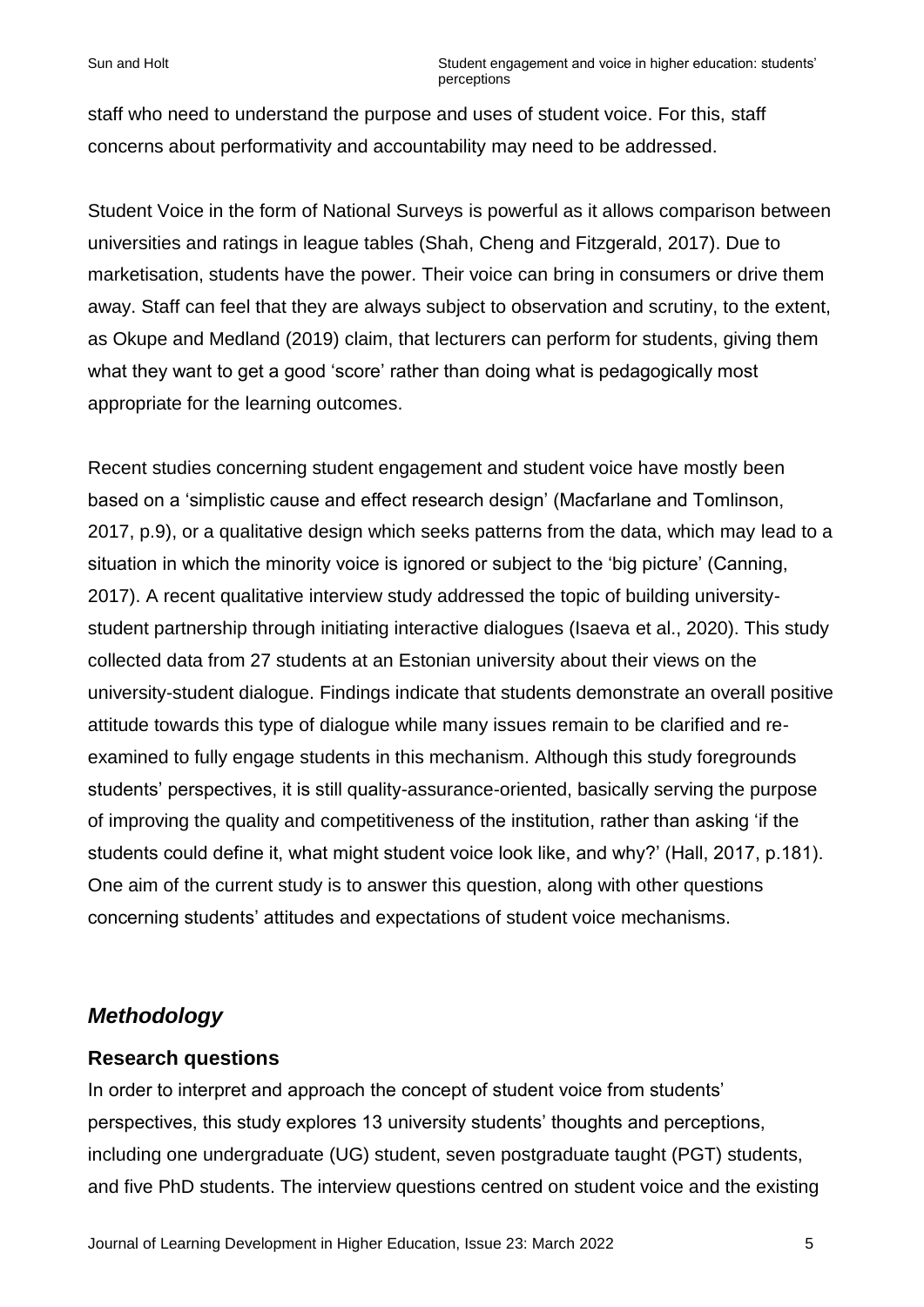staff who need to understand the purpose and uses of student voice. For this, staff concerns about performativity and accountability may need to be addressed.

Student Voice in the form of National Surveys is powerful as it allows comparison between universities and ratings in league tables (Shah, Cheng and Fitzgerald, 2017). Due to marketisation, students have the power. Their voice can bring in consumers or drive them away. Staff can feel that they are always subject to observation and scrutiny, to the extent, as Okupe and Medland (2019) claim, that lecturers can perform for students, giving them what they want to get a good 'score' rather than doing what is pedagogically most appropriate for the learning outcomes.

Recent studies concerning student engagement and student voice have mostly been based on a 'simplistic cause and effect research design' (Macfarlane and Tomlinson, 2017, p.9), or a qualitative design which seeks patterns from the data, which may lead to a situation in which the minority voice is ignored or subject to the 'big picture' (Canning, 2017). A recent qualitative interview study addressed the topic of building universitystudent partnership through initiating interactive dialogues (Isaeva et al., 2020). This study collected data from 27 students at an Estonian university about their views on the university-student dialogue. Findings indicate that students demonstrate an overall positive attitude towards this type of dialogue while many issues remain to be clarified and reexamined to fully engage students in this mechanism. Although this study foregrounds students' perspectives, it is still quality-assurance-oriented, basically serving the purpose of improving the quality and competitiveness of the institution, rather than asking 'if the students could define it, what might student voice look like, and why?' (Hall, 2017, p.181). One aim of the current study is to answer this question, along with other questions concerning students' attitudes and expectations of student voice mechanisms.

### *Methodology*

### **Research questions**

In order to interpret and approach the concept of student voice from students' perspectives, this study explores 13 university students' thoughts and perceptions, including one undergraduate (UG) student, seven postgraduate taught (PGT) students, and five PhD students. The interview questions centred on student voice and the existing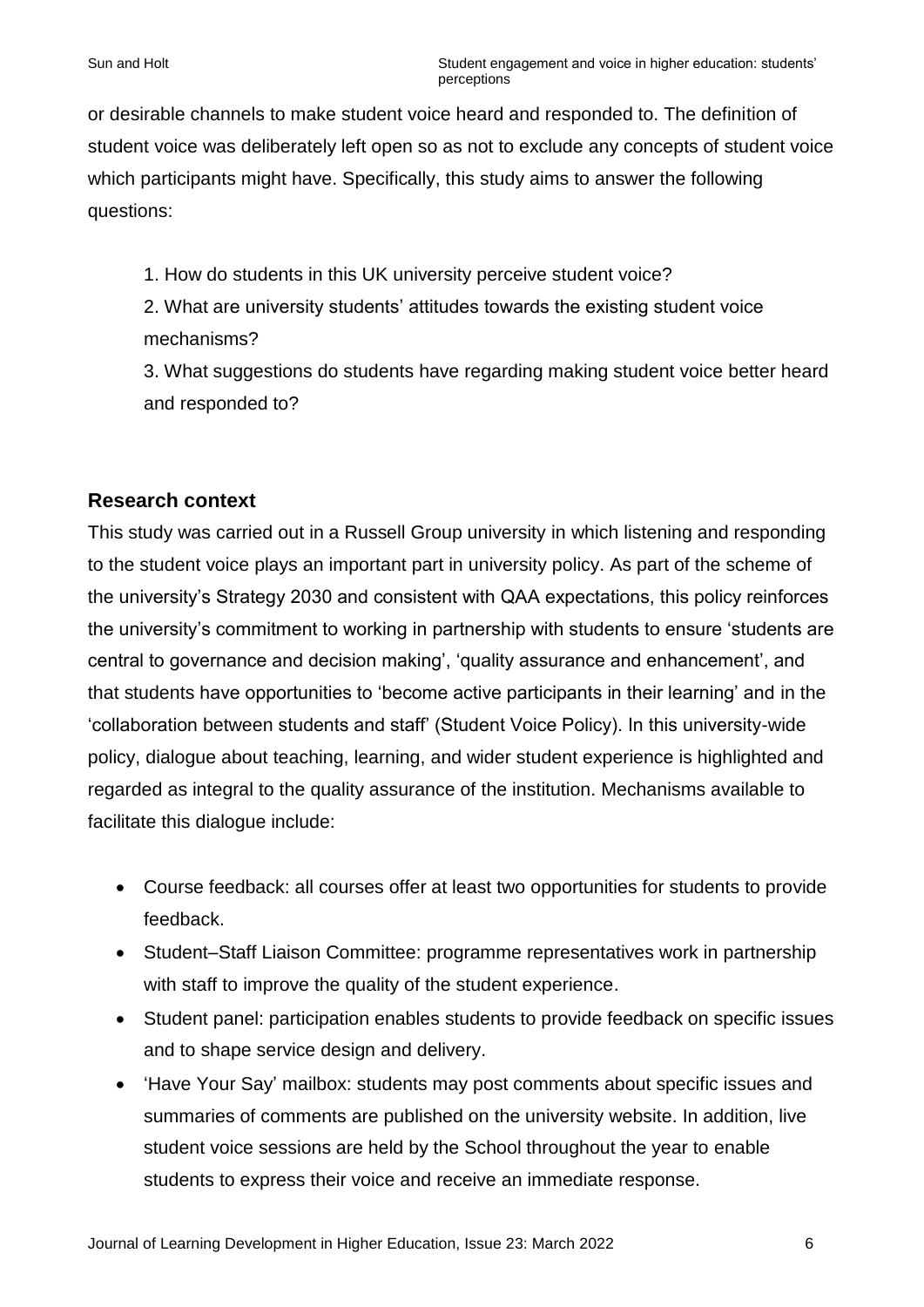or desirable channels to make student voice heard and responded to. The definition of student voice was deliberately left open so as not to exclude any concepts of student voice which participants might have. Specifically, this study aims to answer the following questions:

1. How do students in this UK university perceive student voice?

2. What are university students' attitudes towards the existing student voice mechanisms?

3. What suggestions do students have regarding making student voice better heard and responded to?

### **Research context**

This study was carried out in a Russell Group university in which listening and responding to the student voice plays an important part in university policy. As part of the scheme of the university's Strategy 2030 and consistent with QAA expectations, this policy reinforces the university's commitment to working in partnership with students to ensure 'students are central to governance and decision making', 'quality assurance and enhancement', and that students have opportunities to 'become active participants in their learning' and in the 'collaboration between students and staff' (Student Voice Policy). In this university-wide policy, dialogue about teaching, learning, and wider student experience is highlighted and regarded as integral to the quality assurance of the institution. Mechanisms available to facilitate this dialogue include:

- Course feedback: all courses offer at least two opportunities for students to provide feedback.
- Student–Staff Liaison Committee: programme representatives work in partnership with staff to improve the quality of the student experience.
- Student panel: participation enables students to provide feedback on specific issues and to shape service design and delivery.
- 'Have Your Say' mailbox: students may post comments about specific issues and summaries of comments are published on the university website. In addition, live student voice sessions are held by the School throughout the year to enable students to express their voice and receive an immediate response.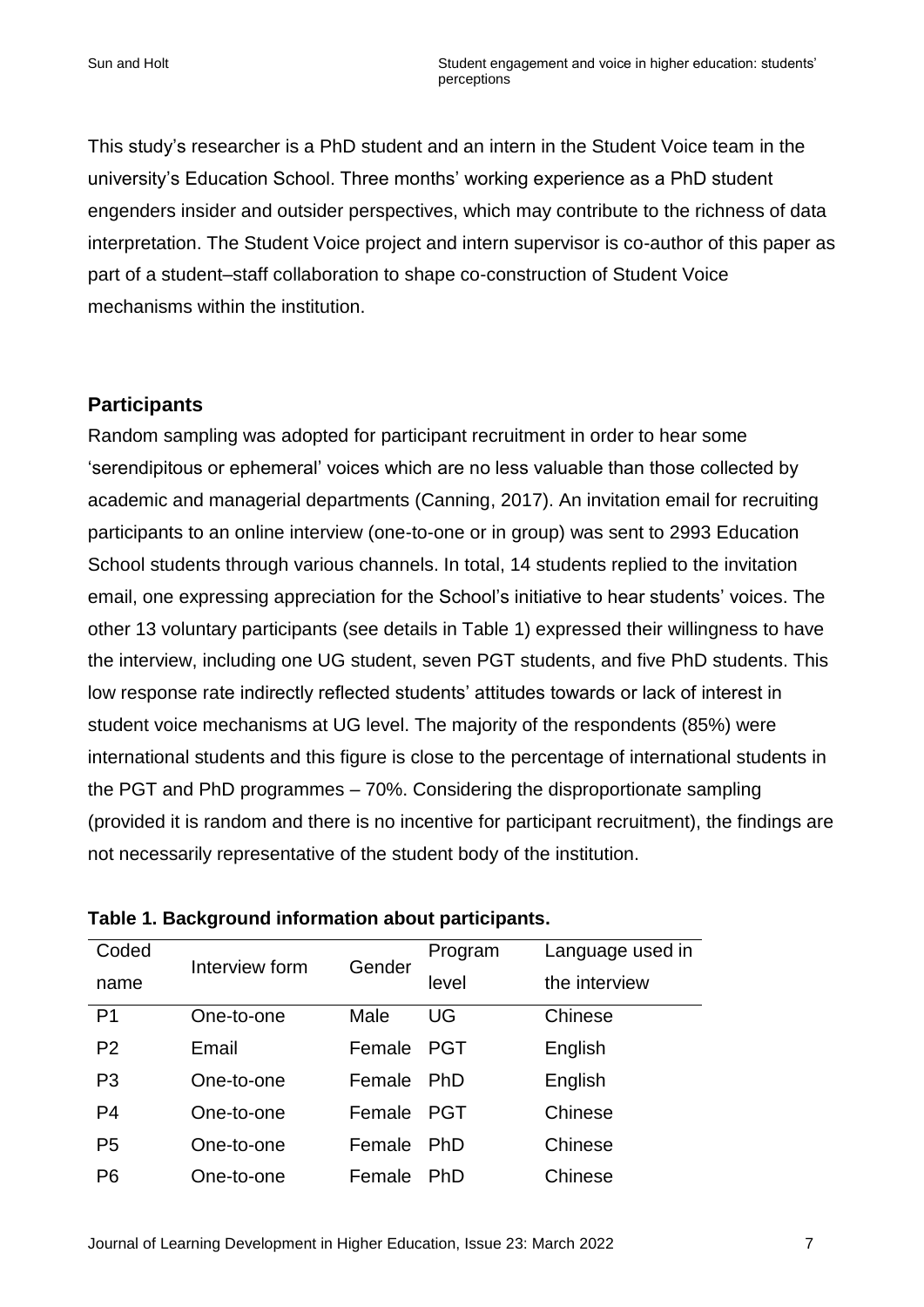This study's researcher is a PhD student and an intern in the Student Voice team in the university's Education School. Three months' working experience as a PhD student engenders insider and outsider perspectives, which may contribute to the richness of data interpretation. The Student Voice project and intern supervisor is co-author of this paper as part of a student–staff collaboration to shape co-construction of Student Voice mechanisms within the institution.

### **Participants**

Random sampling was adopted for participant recruitment in order to hear some 'serendipitous or ephemeral' voices which are no less valuable than those collected by academic and managerial departments (Canning, 2017). An invitation email for recruiting participants to an online interview (one-to-one or in group) was sent to 2993 Education School students through various channels. In total, 14 students replied to the invitation email, one expressing appreciation for the School's initiative to hear students' voices. The other 13 voluntary participants (see details in Table 1) expressed their willingness to have the interview, including one UG student, seven PGT students, and five PhD students. This low response rate indirectly reflected students' attitudes towards or lack of interest in student voice mechanisms at UG level. The majority of the respondents (85%) were international students and this figure is close to the percentage of international students in the PGT and PhD programmes – 70%. Considering the disproportionate sampling (provided it is random and there is no incentive for participant recruitment), the findings are not necessarily representative of the student body of the institution.

| Coded          | Interview form | Gender | Program    | Language used in |
|----------------|----------------|--------|------------|------------------|
| name           |                |        | level      | the interview    |
| P <sub>1</sub> | One-to-one     | Male   | UG         | Chinese          |
| P <sub>2</sub> | Email          | Female | <b>PGT</b> | English          |
| P <sub>3</sub> | One-to-one     | Female | <b>PhD</b> | English          |
| P <sub>4</sub> | One-to-one     | Female | <b>PGT</b> | Chinese          |
| P <sub>5</sub> | One-to-one     | Female | <b>PhD</b> | Chinese          |
| P <sub>6</sub> | One-to-one     | Female | PhD        | Chinese          |

| Table 1. Background information about participants. |  |  |  |  |  |
|-----------------------------------------------------|--|--|--|--|--|
|-----------------------------------------------------|--|--|--|--|--|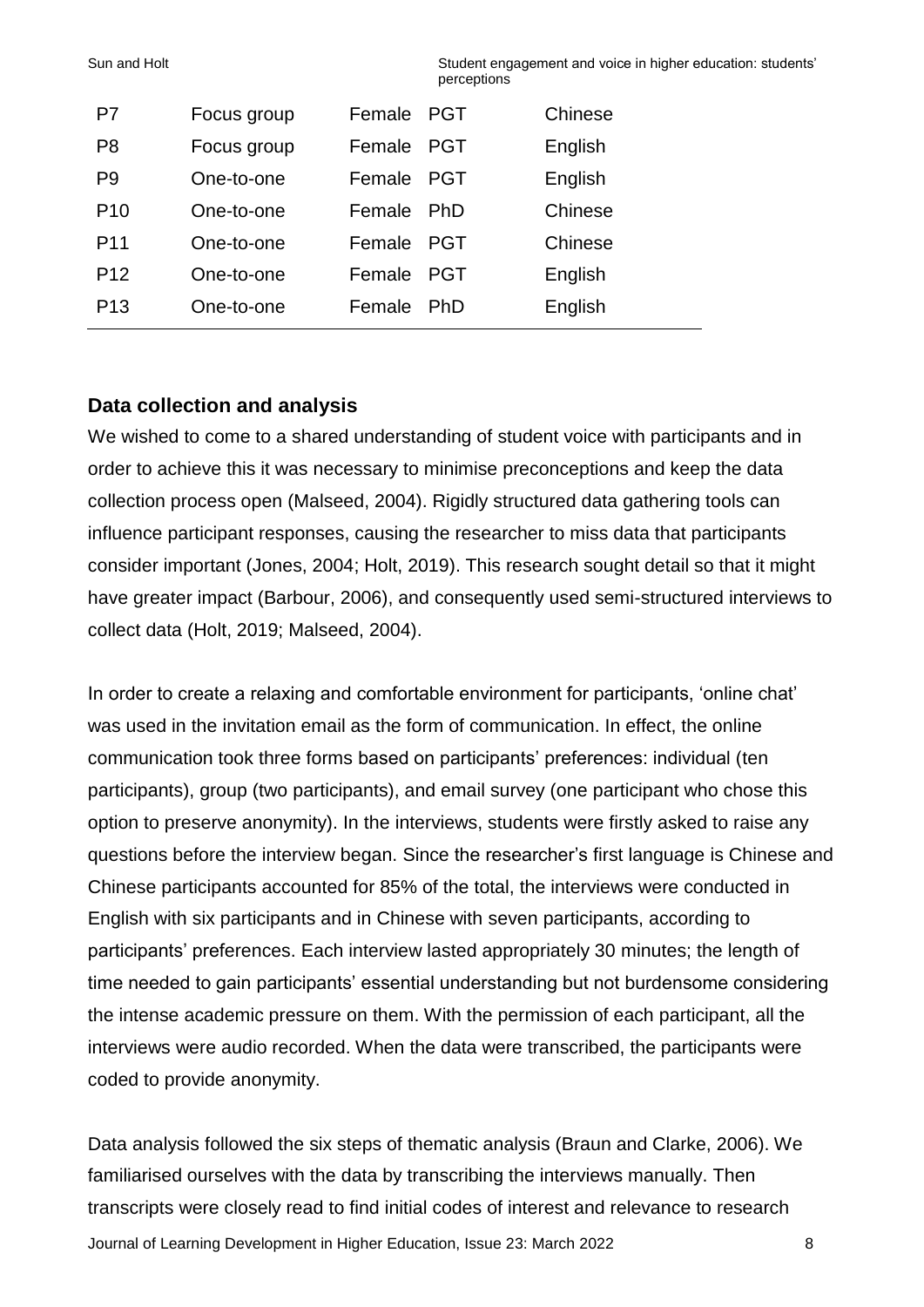Sun and Holt Student engagement and voice in higher education: students' perceptions

| P7              | Focus group | Female | <b>PGT</b> | Chinese |
|-----------------|-------------|--------|------------|---------|
| P <sub>8</sub>  | Focus group | Female | <b>PGT</b> | English |
| P9              | One-to-one  | Female | <b>PGT</b> | English |
| P <sub>10</sub> | One-to-one  | Female | <b>PhD</b> | Chinese |
| P <sub>11</sub> | One-to-one  | Female | <b>PGT</b> | Chinese |
| P <sub>12</sub> | One-to-one  | Female | <b>PGT</b> | English |
| P <sub>13</sub> | One-to-one  | Female | <b>PhD</b> | English |

#### **Data collection and analysis**

We wished to come to a shared understanding of student voice with participants and in order to achieve this it was necessary to minimise preconceptions and keep the data collection process open (Malseed, 2004). Rigidly structured data gathering tools can influence participant responses, causing the researcher to miss data that participants consider important (Jones, 2004; Holt, 2019). This research sought detail so that it might have greater impact (Barbour, 2006), and consequently used semi-structured interviews to collect data (Holt, 2019; Malseed, 2004).

In order to create a relaxing and comfortable environment for participants, 'online chat' was used in the invitation email as the form of communication. In effect, the online communication took three forms based on participants' preferences: individual (ten participants), group (two participants), and email survey (one participant who chose this option to preserve anonymity). In the interviews, students were firstly asked to raise any questions before the interview began. Since the researcher's first language is Chinese and Chinese participants accounted for 85% of the total, the interviews were conducted in English with six participants and in Chinese with seven participants, according to participants' preferences. Each interview lasted appropriately 30 minutes; the length of time needed to gain participants' essential understanding but not burdensome considering the intense academic pressure on them. With the permission of each participant, all the interviews were audio recorded. When the data were transcribed, the participants were coded to provide anonymity.

Journal of Learning Development in Higher Education, Issue 23: March 2022 8 Data analysis followed the six steps of thematic analysis (Braun and Clarke, 2006). We familiarised ourselves with the data by transcribing the interviews manually. Then transcripts were closely read to find initial codes of interest and relevance to research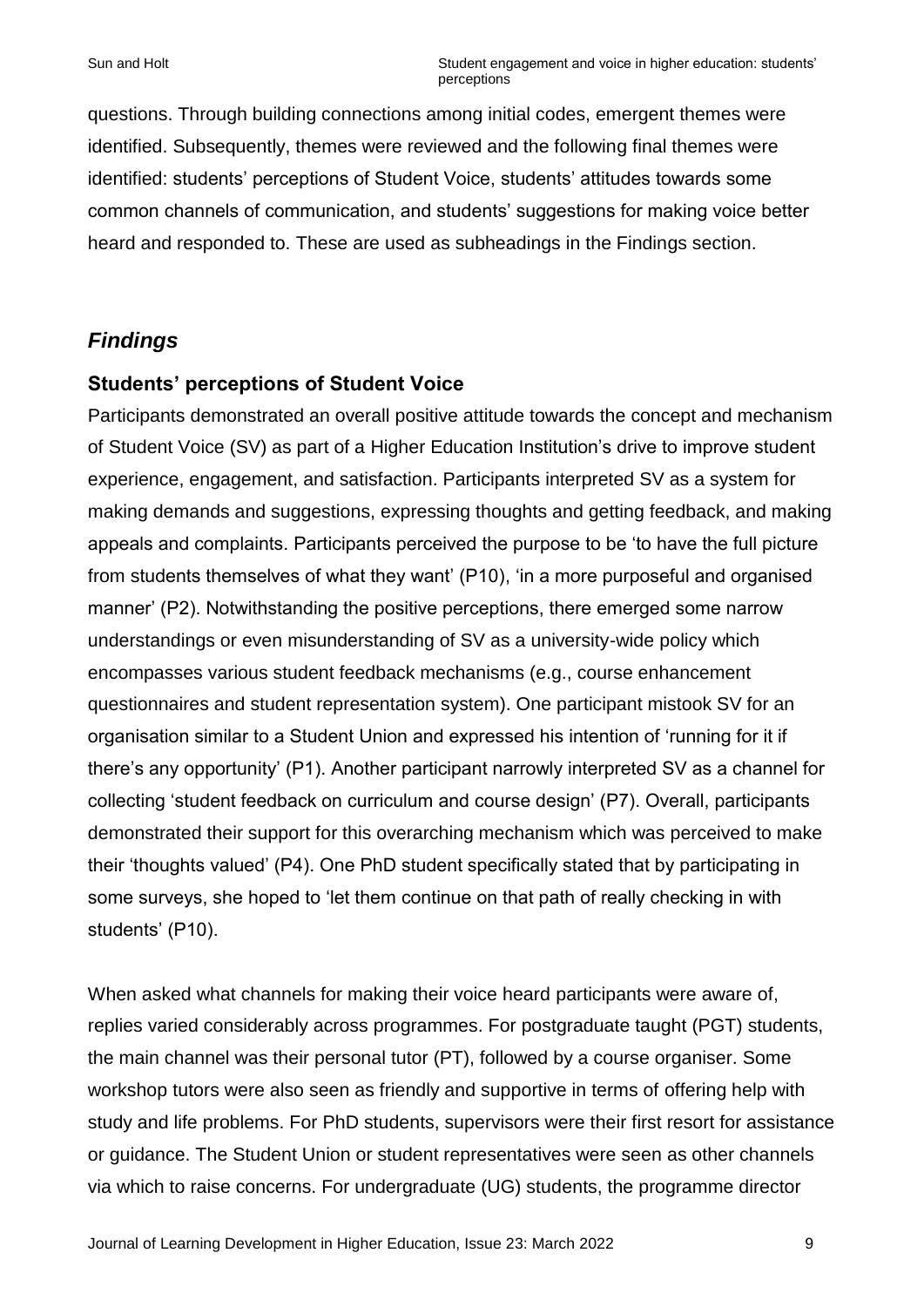questions. Through building connections among initial codes, emergent themes were identified. Subsequently, themes were reviewed and the following final themes were identified: students' perceptions of Student Voice, students' attitudes towards some common channels of communication, and students' suggestions for making voice better heard and responded to. These are used as subheadings in the Findings section.

# *Findings*

#### **Students' perceptions of Student Voice**

Participants demonstrated an overall positive attitude towards the concept and mechanism of Student Voice (SV) as part of a Higher Education Institution's drive to improve student experience, engagement, and satisfaction. Participants interpreted SV as a system for making demands and suggestions, expressing thoughts and getting feedback, and making appeals and complaints. Participants perceived the purpose to be 'to have the full picture from students themselves of what they want' (P10), 'in a more purposeful and organised manner' (P2). Notwithstanding the positive perceptions, there emerged some narrow understandings or even misunderstanding of SV as a university-wide policy which encompasses various student feedback mechanisms (e.g., course enhancement questionnaires and student representation system). One participant mistook SV for an organisation similar to a Student Union and expressed his intention of 'running for it if there's any opportunity' (P1). Another participant narrowly interpreted SV as a channel for collecting 'student feedback on curriculum and course design' (P7). Overall, participants demonstrated their support for this overarching mechanism which was perceived to make their 'thoughts valued' (P4). One PhD student specifically stated that by participating in some surveys, she hoped to 'let them continue on that path of really checking in with students' (P10).

When asked what channels for making their voice heard participants were aware of, replies varied considerably across programmes. For postgraduate taught (PGT) students, the main channel was their personal tutor (PT), followed by a course organiser. Some workshop tutors were also seen as friendly and supportive in terms of offering help with study and life problems. For PhD students, supervisors were their first resort for assistance or guidance. The Student Union or student representatives were seen as other channels via which to raise concerns. For undergraduate (UG) students, the programme director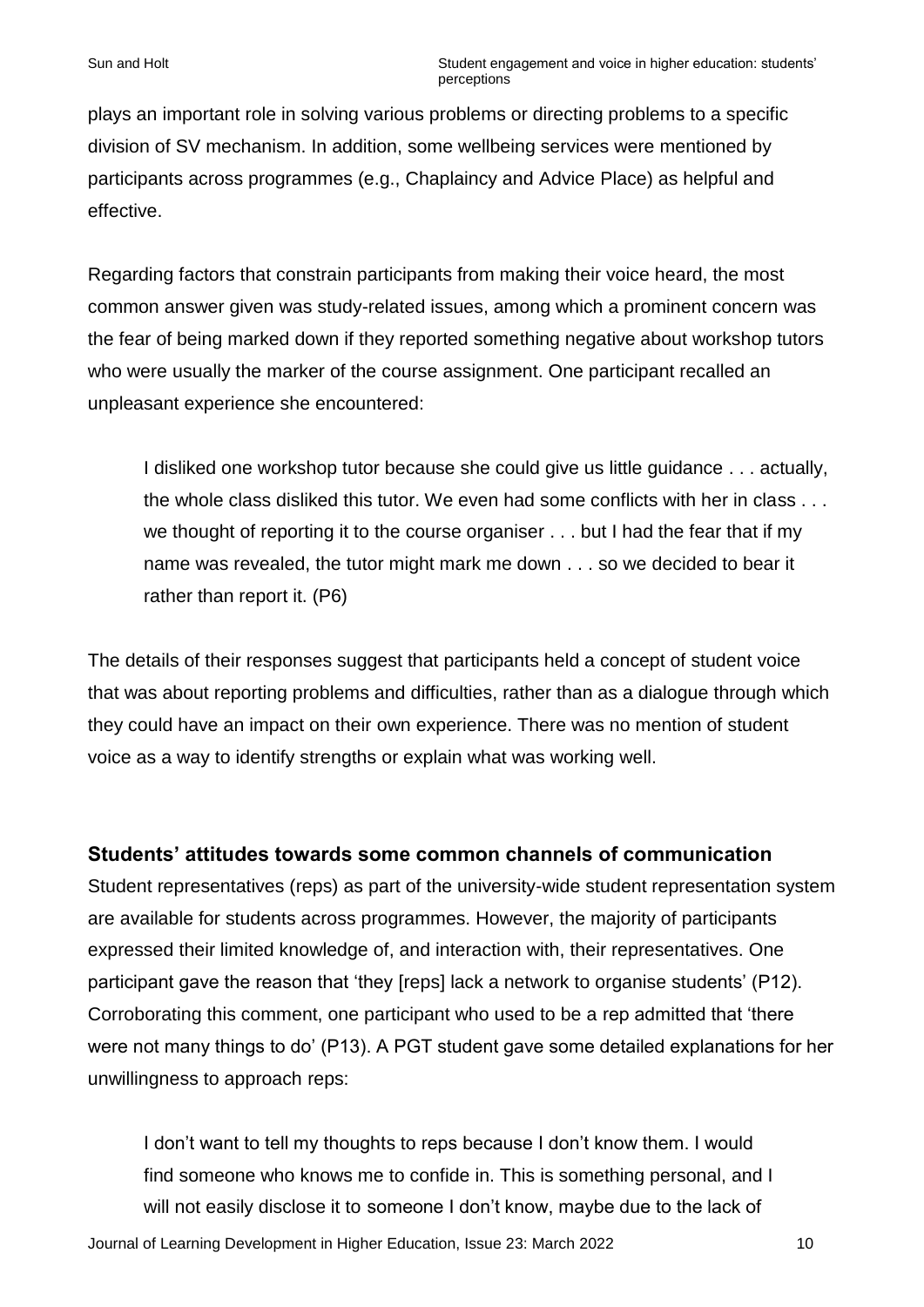plays an important role in solving various problems or directing problems to a specific division of SV mechanism. In addition, some wellbeing services were mentioned by participants across programmes (e.g., Chaplaincy and Advice Place) as helpful and effective.

Regarding factors that constrain participants from making their voice heard, the most common answer given was study-related issues, among which a prominent concern was the fear of being marked down if they reported something negative about workshop tutors who were usually the marker of the course assignment. One participant recalled an unpleasant experience she encountered:

I disliked one workshop tutor because she could give us little guidance . . . actually, the whole class disliked this tutor. We even had some conflicts with her in class . . . we thought of reporting it to the course organiser . . . but I had the fear that if my name was revealed, the tutor might mark me down . . . so we decided to bear it rather than report it. (P6)

The details of their responses suggest that participants held a concept of student voice that was about reporting problems and difficulties, rather than as a dialogue through which they could have an impact on their own experience. There was no mention of student voice as a way to identify strengths or explain what was working well.

### **Students' attitudes towards some common channels of communication**

Student representatives (reps) as part of the university-wide student representation system are available for students across programmes. However, the majority of participants expressed their limited knowledge of, and interaction with, their representatives. One participant gave the reason that 'they [reps] lack a network to organise students' (P12). Corroborating this comment, one participant who used to be a rep admitted that 'there were not many things to do' (P13). A PGT student gave some detailed explanations for her unwillingness to approach reps:

Journal of Learning Development in Higher Education, Issue 23: March 2022 10 I don't want to tell my thoughts to reps because I don't know them. I would find someone who knows me to confide in. This is something personal, and I will not easily disclose it to someone I don't know, maybe due to the lack of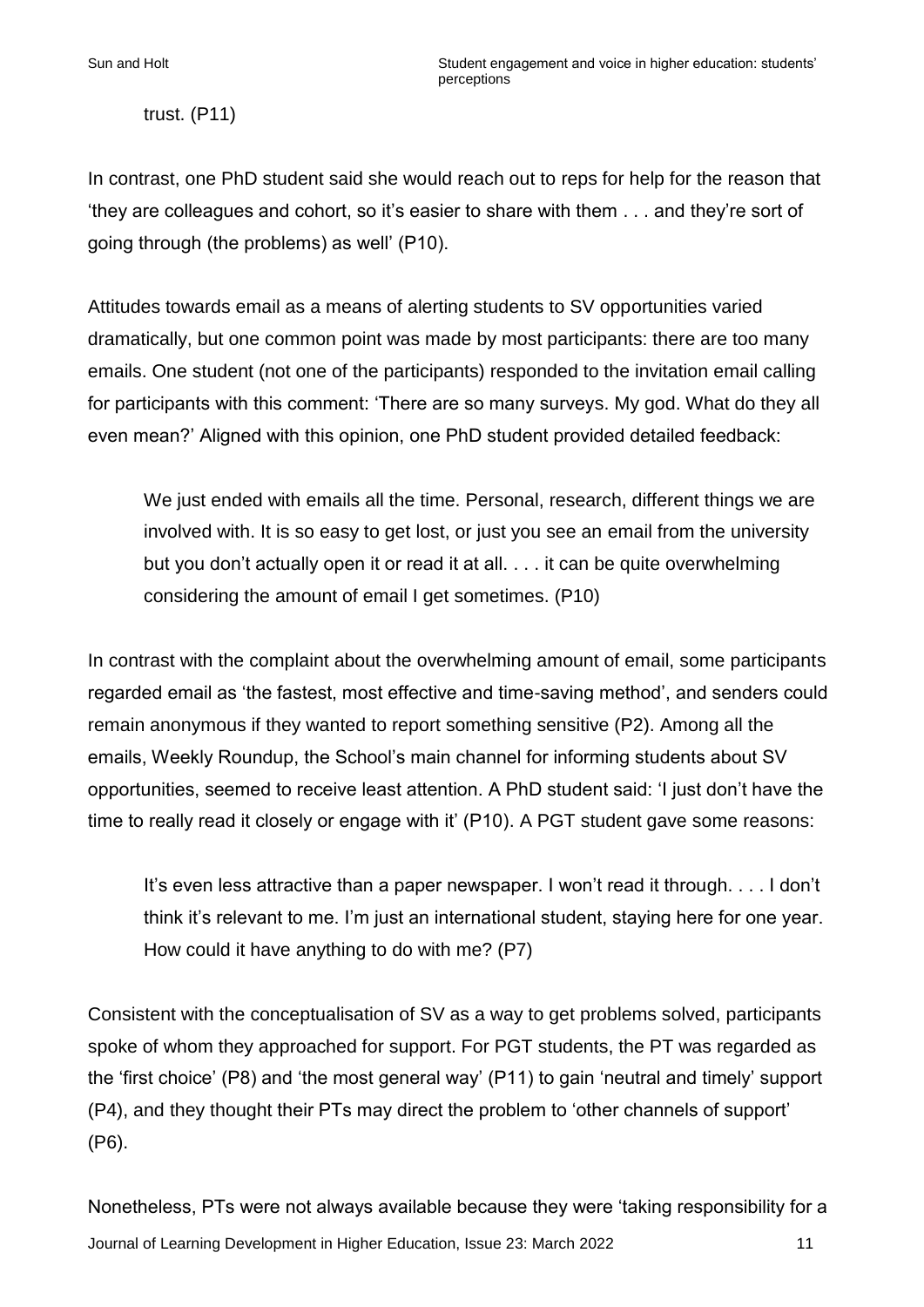trust. (P11)

In contrast, one PhD student said she would reach out to reps for help for the reason that 'they are colleagues and cohort, so it's easier to share with them . . . and they're sort of going through (the problems) as well' (P10).

Attitudes towards email as a means of alerting students to SV opportunities varied dramatically, but one common point was made by most participants: there are too many emails. One student (not one of the participants) responded to the invitation email calling for participants with this comment: 'There are so many surveys. My god. What do they all even mean?' Aligned with this opinion, one PhD student provided detailed feedback:

We just ended with emails all the time. Personal, research, different things we are involved with. It is so easy to get lost, or just you see an email from the university but you don't actually open it or read it at all. . . . it can be quite overwhelming considering the amount of email I get sometimes. (P10)

In contrast with the complaint about the overwhelming amount of email, some participants regarded email as 'the fastest, most effective and time-saving method', and senders could remain anonymous if they wanted to report something sensitive (P2). Among all the emails, Weekly Roundup, the School's main channel for informing students about SV opportunities, seemed to receive least attention. A PhD student said: 'I just don't have the time to really read it closely or engage with it' (P10). A PGT student gave some reasons:

It's even less attractive than a paper newspaper. I won't read it through. . . . I don't think it's relevant to me. I'm just an international student, staying here for one year. How could it have anything to do with me? (P7)

Consistent with the conceptualisation of SV as a way to get problems solved, participants spoke of whom they approached for support. For PGT students, the PT was regarded as the 'first choice' (P8) and 'the most general way' (P11) to gain 'neutral and timely' support (P4), and they thought their PTs may direct the problem to 'other channels of support' (P6).

Journal of Learning Development in Higher Education, Issue 23: March 2022 11 Nonetheless, PTs were not always available because they were 'taking responsibility for a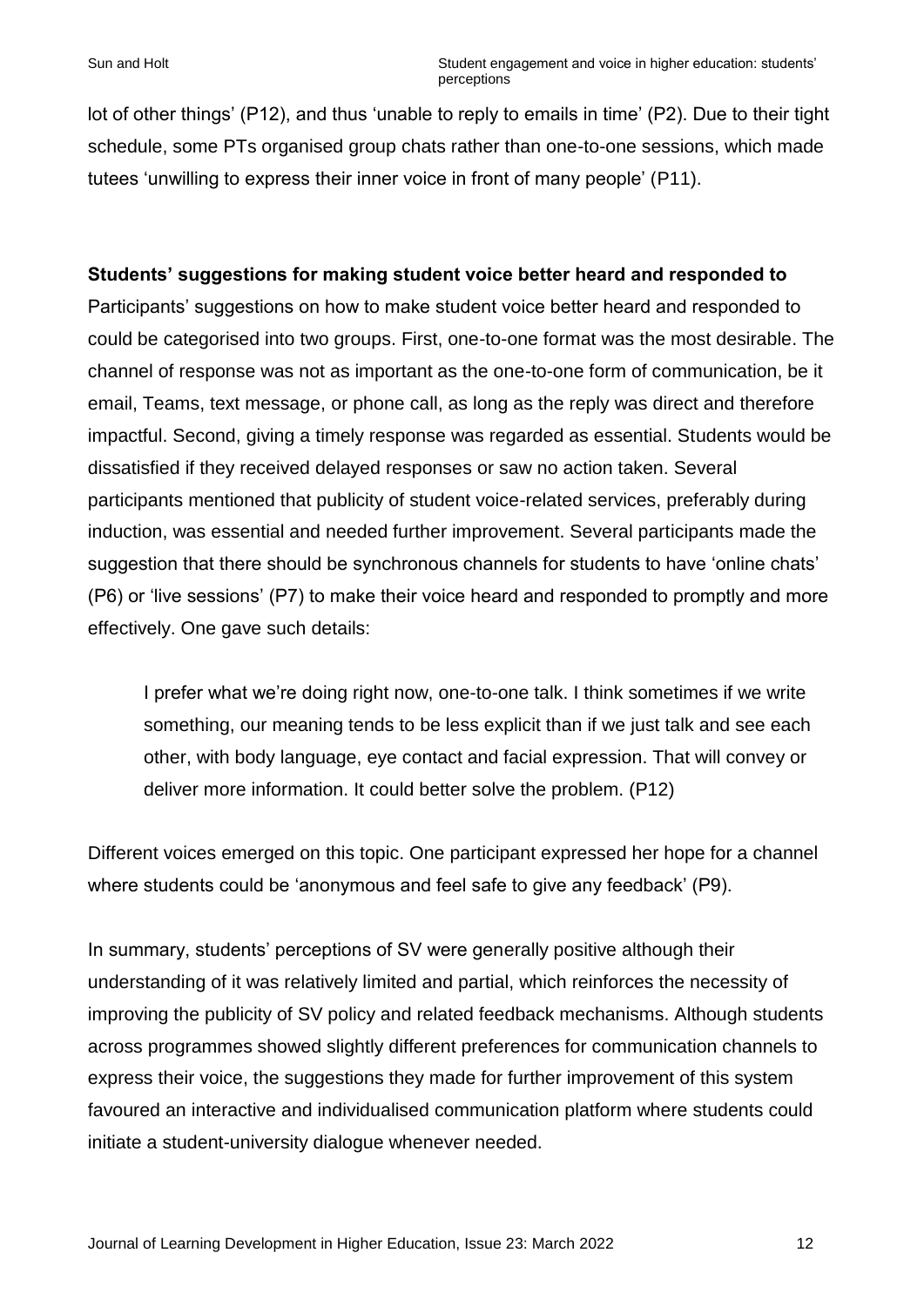lot of other things' (P12), and thus 'unable to reply to emails in time' (P2). Due to their tight schedule, some PTs organised group chats rather than one-to-one sessions, which made tutees 'unwilling to express their inner voice in front of many people' (P11).

#### **Students' suggestions for making student voice better heard and responded to**

Participants' suggestions on how to make student voice better heard and responded to could be categorised into two groups. First, one-to-one format was the most desirable. The channel of response was not as important as the one-to-one form of communication, be it email, Teams, text message, or phone call, as long as the reply was direct and therefore impactful. Second, giving a timely response was regarded as essential. Students would be dissatisfied if they received delayed responses or saw no action taken. Several participants mentioned that publicity of student voice-related services, preferably during induction, was essential and needed further improvement. Several participants made the suggestion that there should be synchronous channels for students to have 'online chats' (P6) or 'live sessions' (P7) to make their voice heard and responded to promptly and more effectively. One gave such details:

I prefer what we're doing right now, one-to-one talk. I think sometimes if we write something, our meaning tends to be less explicit than if we just talk and see each other, with body language, eye contact and facial expression. That will convey or deliver more information. It could better solve the problem. (P12)

Different voices emerged on this topic. One participant expressed her hope for a channel where students could be 'anonymous and feel safe to give any feedback' (P9).

In summary, students' perceptions of SV were generally positive although their understanding of it was relatively limited and partial, which reinforces the necessity of improving the publicity of SV policy and related feedback mechanisms. Although students across programmes showed slightly different preferences for communication channels to express their voice, the suggestions they made for further improvement of this system favoured an interactive and individualised communication platform where students could initiate a student-university dialogue whenever needed.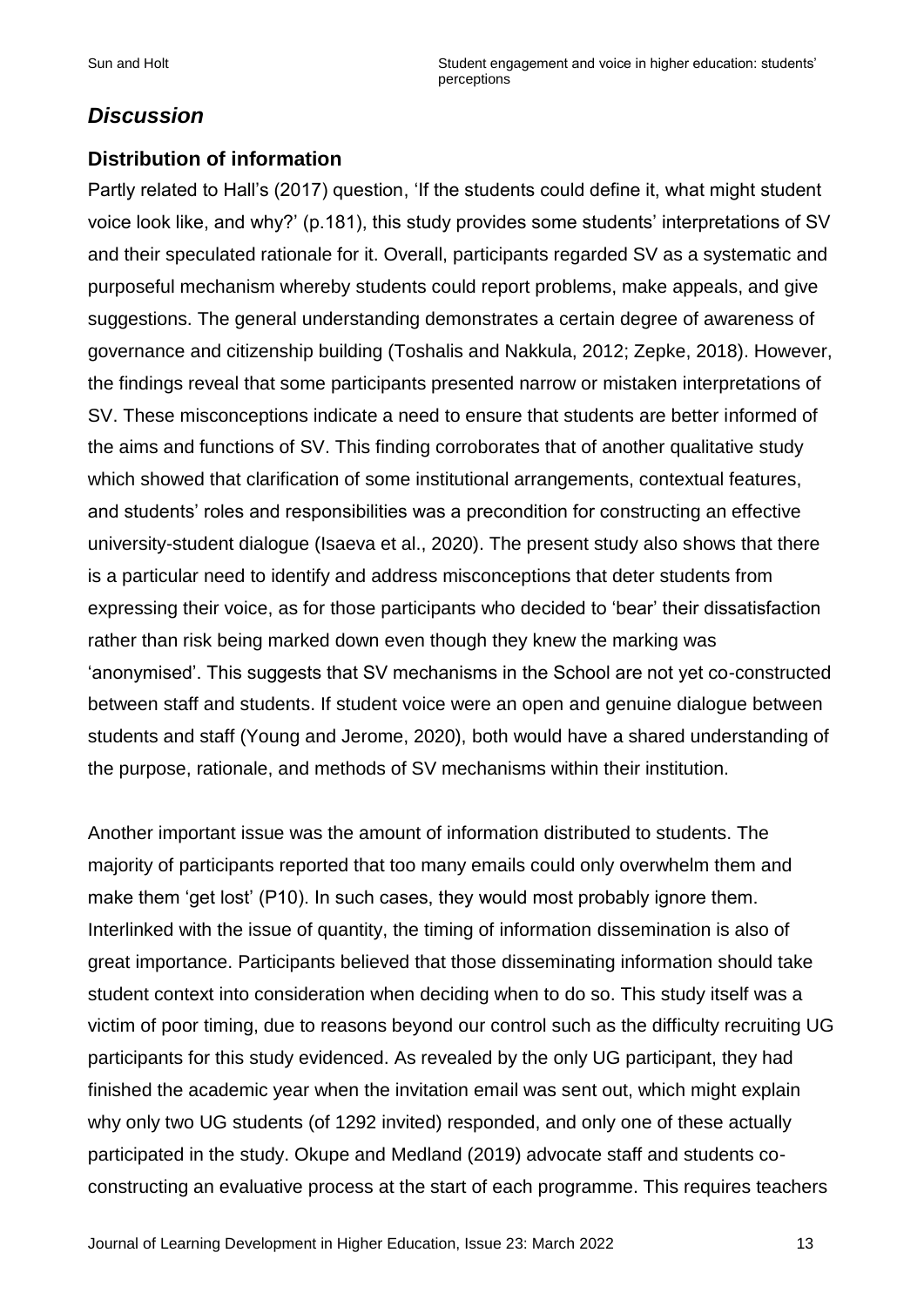# *Discussion*

## **Distribution of information**

Partly related to Hall's (2017) question, 'If the students could define it, what might student voice look like, and why?' (p.181), this study provides some students' interpretations of SV and their speculated rationale for it. Overall, participants regarded SV as a systematic and purposeful mechanism whereby students could report problems, make appeals, and give suggestions. The general understanding demonstrates a certain degree of awareness of governance and citizenship building (Toshalis and Nakkula, 2012; Zepke, 2018). However, the findings reveal that some participants presented narrow or mistaken interpretations of SV. These misconceptions indicate a need to ensure that students are better informed of the aims and functions of SV. This finding corroborates that of another qualitative study which showed that clarification of some institutional arrangements, contextual features, and students' roles and responsibilities was a precondition for constructing an effective university-student dialogue (Isaeva et al., 2020). The present study also shows that there is a particular need to identify and address misconceptions that deter students from expressing their voice, as for those participants who decided to 'bear' their dissatisfaction rather than risk being marked down even though they knew the marking was 'anonymised'. This suggests that SV mechanisms in the School are not yet co-constructed between staff and students. If student voice were an open and genuine dialogue between students and staff (Young and Jerome, 2020), both would have a shared understanding of the purpose, rationale, and methods of SV mechanisms within their institution.

Another important issue was the amount of information distributed to students. The majority of participants reported that too many emails could only overwhelm them and make them 'get lost' (P10). In such cases, they would most probably ignore them. Interlinked with the issue of quantity, the timing of information dissemination is also of great importance. Participants believed that those disseminating information should take student context into consideration when deciding when to do so. This study itself was a victim of poor timing, due to reasons beyond our control such as the difficulty recruiting UG participants for this study evidenced. As revealed by the only UG participant, they had finished the academic year when the invitation email was sent out, which might explain why only two UG students (of 1292 invited) responded, and only one of these actually participated in the study. Okupe and Medland (2019) advocate staff and students coconstructing an evaluative process at the start of each programme. This requires teachers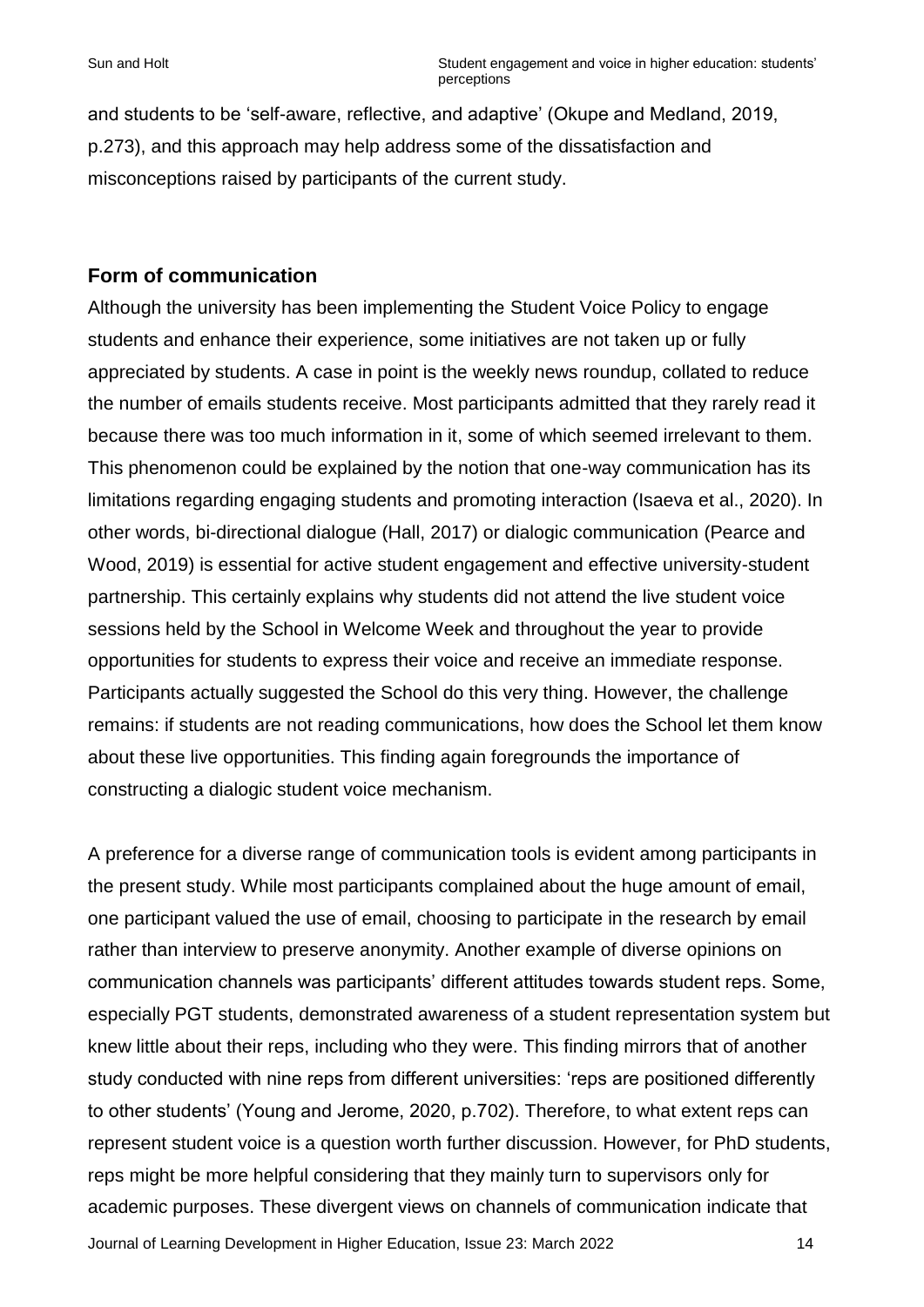and students to be 'self-aware, reflective, and adaptive' (Okupe and Medland, 2019, p.273), and this approach may help address some of the dissatisfaction and misconceptions raised by participants of the current study.

#### **Form of communication**

Although the university has been implementing the Student Voice Policy to engage students and enhance their experience, some initiatives are not taken up or fully appreciated by students. A case in point is the weekly news roundup, collated to reduce the number of emails students receive. Most participants admitted that they rarely read it because there was too much information in it, some of which seemed irrelevant to them. This phenomenon could be explained by the notion that one-way communication has its limitations regarding engaging students and promoting interaction (Isaeva et al., 2020). In other words, bi-directional dialogue (Hall, 2017) or dialogic communication (Pearce and Wood, 2019) is essential for active student engagement and effective university-student partnership. This certainly explains why students did not attend the live student voice sessions held by the School in Welcome Week and throughout the year to provide opportunities for students to express their voice and receive an immediate response. Participants actually suggested the School do this very thing. However, the challenge remains: if students are not reading communications, how does the School let them know about these live opportunities. This finding again foregrounds the importance of constructing a dialogic student voice mechanism.

Journal of Learning Development in Higher Education, Issue 23: March 2022 14 A preference for a diverse range of communication tools is evident among participants in the present study. While most participants complained about the huge amount of email, one participant valued the use of email, choosing to participate in the research by email rather than interview to preserve anonymity. Another example of diverse opinions on communication channels was participants' different attitudes towards student reps. Some, especially PGT students, demonstrated awareness of a student representation system but knew little about their reps, including who they were. This finding mirrors that of another study conducted with nine reps from different universities: 'reps are positioned differently to other students' (Young and Jerome, 2020, p.702). Therefore, to what extent reps can represent student voice is a question worth further discussion. However, for PhD students, reps might be more helpful considering that they mainly turn to supervisors only for academic purposes. These divergent views on channels of communication indicate that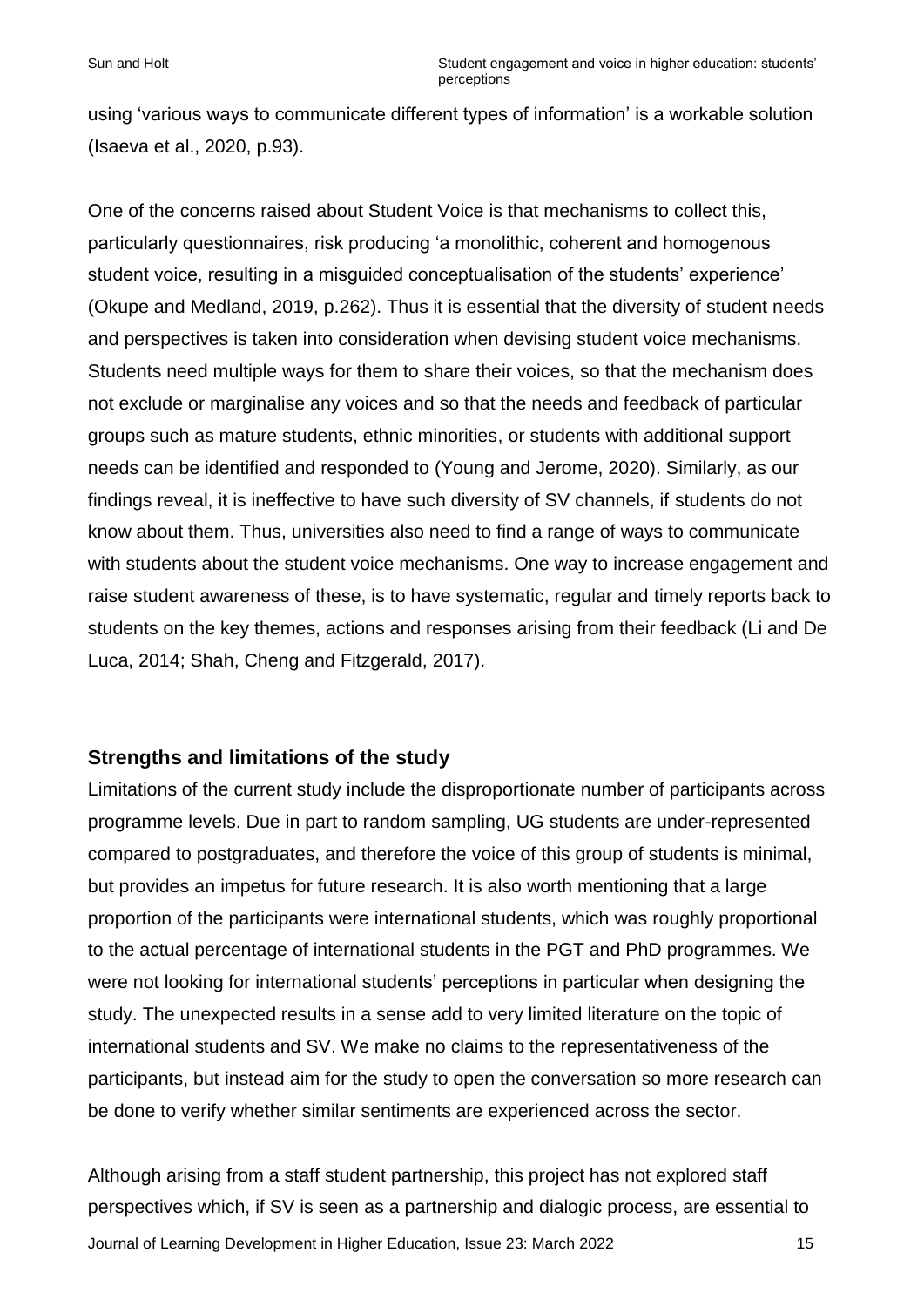using 'various ways to communicate different types of information' is a workable solution (Isaeva et al., 2020, p.93).

One of the concerns raised about Student Voice is that mechanisms to collect this, particularly questionnaires, risk producing 'a monolithic, coherent and homogenous student voice, resulting in a misguided conceptualisation of the students' experience' (Okupe and Medland, 2019, p.262). Thus it is essential that the diversity of student needs and perspectives is taken into consideration when devising student voice mechanisms. Students need multiple ways for them to share their voices, so that the mechanism does not exclude or marginalise any voices and so that the needs and feedback of particular groups such as mature students, ethnic minorities, or students with additional support needs can be identified and responded to (Young and Jerome, 2020). Similarly, as our findings reveal, it is ineffective to have such diversity of SV channels, if students do not know about them. Thus, universities also need to find a range of ways to communicate with students about the student voice mechanisms. One way to increase engagement and raise student awareness of these, is to have systematic, regular and timely reports back to students on the key themes, actions and responses arising from their feedback (Li and De Luca, 2014; Shah, Cheng and Fitzgerald, 2017).

#### **Strengths and limitations of the study**

Limitations of the current study include the disproportionate number of participants across programme levels. Due in part to random sampling, UG students are under-represented compared to postgraduates, and therefore the voice of this group of students is minimal, but provides an impetus for future research. It is also worth mentioning that a large proportion of the participants were international students, which was roughly proportional to the actual percentage of international students in the PGT and PhD programmes. We were not looking for international students' perceptions in particular when designing the study. The unexpected results in a sense add to very limited literature on the topic of international students and SV. We make no claims to the representativeness of the participants, but instead aim for the study to open the conversation so more research can be done to verify whether similar sentiments are experienced across the sector.

Journal of Learning Development in Higher Education, Issue 23: March 2022 15 Although arising from a staff student partnership, this project has not explored staff perspectives which, if SV is seen as a partnership and dialogic process, are essential to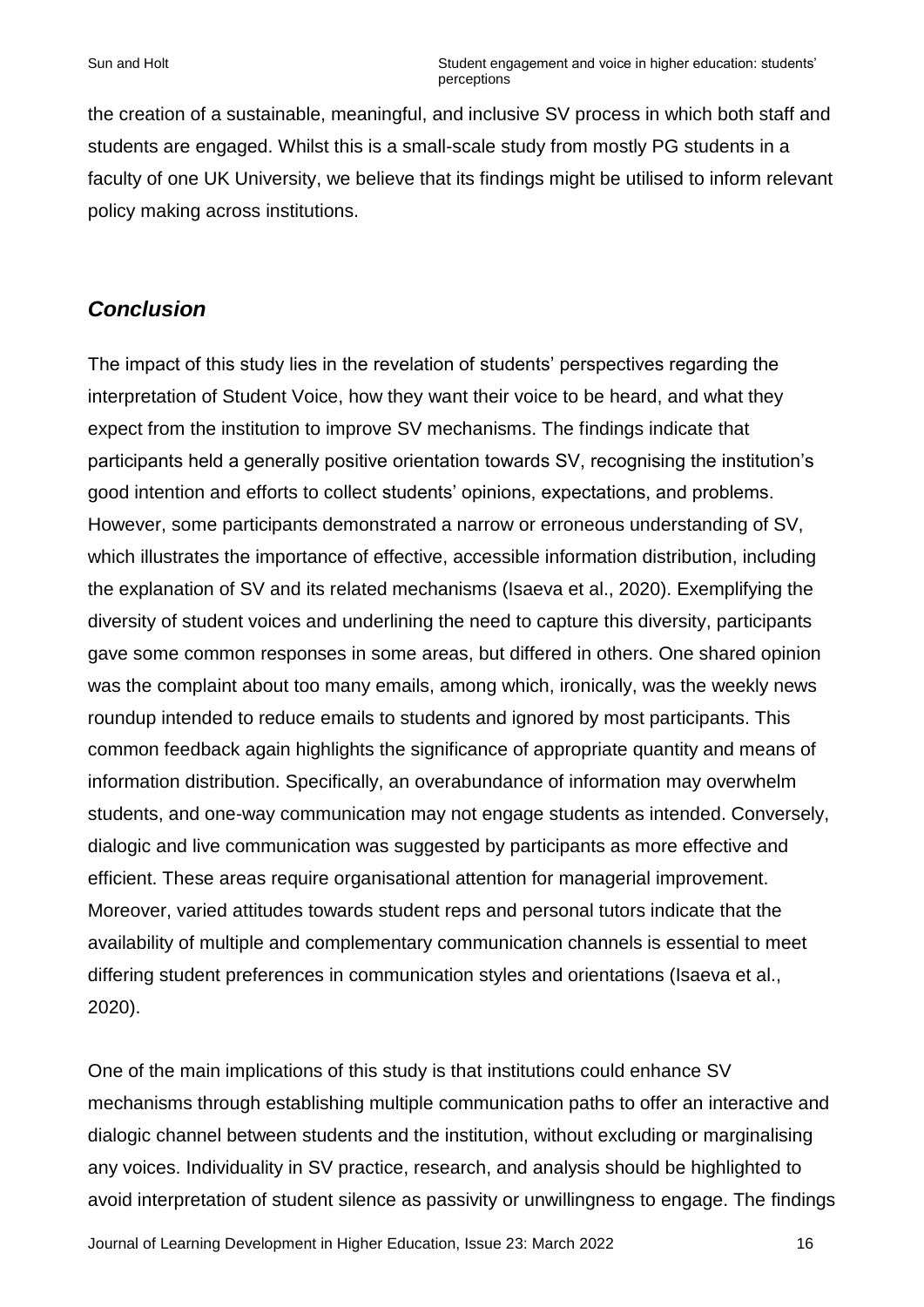the creation of a sustainable, meaningful, and inclusive SV process in which both staff and students are engaged. Whilst this is a small-scale study from mostly PG students in a faculty of one UK University, we believe that its findings might be utilised to inform relevant policy making across institutions.

## *Conclusion*

The impact of this study lies in the revelation of students' perspectives regarding the interpretation of Student Voice, how they want their voice to be heard, and what they expect from the institution to improve SV mechanisms. The findings indicate that participants held a generally positive orientation towards SV, recognising the institution's good intention and efforts to collect students' opinions, expectations, and problems. However, some participants demonstrated a narrow or erroneous understanding of SV, which illustrates the importance of effective, accessible information distribution, including the explanation of SV and its related mechanisms (Isaeva et al., 2020). Exemplifying the diversity of student voices and underlining the need to capture this diversity, participants gave some common responses in some areas, but differed in others. One shared opinion was the complaint about too many emails, among which, ironically, was the weekly news roundup intended to reduce emails to students and ignored by most participants. This common feedback again highlights the significance of appropriate quantity and means of information distribution. Specifically, an overabundance of information may overwhelm students, and one-way communication may not engage students as intended. Conversely, dialogic and live communication was suggested by participants as more effective and efficient. These areas require organisational attention for managerial improvement. Moreover, varied attitudes towards student reps and personal tutors indicate that the availability of multiple and complementary communication channels is essential to meet differing student preferences in communication styles and orientations (Isaeva et al., 2020).

One of the main implications of this study is that institutions could enhance SV mechanisms through establishing multiple communication paths to offer an interactive and dialogic channel between students and the institution, without excluding or marginalising any voices. Individuality in SV practice, research, and analysis should be highlighted to avoid interpretation of student silence as passivity or unwillingness to engage. The findings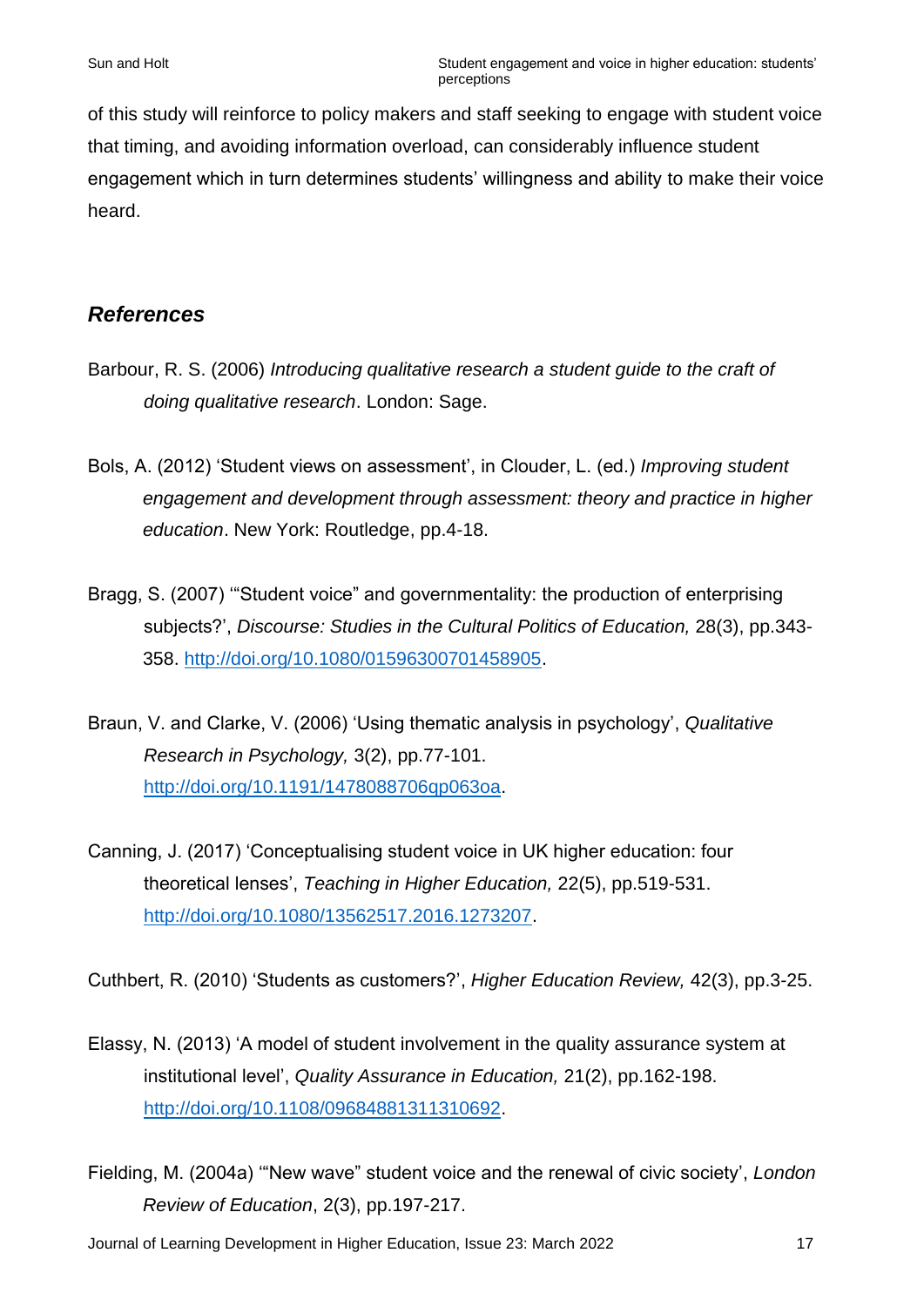of this study will reinforce to policy makers and staff seeking to engage with student voice that timing, and avoiding information overload, can considerably influence student engagement which in turn determines students' willingness and ability to make their voice heard.

# *References*

- Barbour, R. S. (2006) *Introducing qualitative research a student guide to the craft of doing qualitative research*. London: Sage.
- Bols, A. (2012) 'Student views on assessment', in Clouder, L. (ed.) *Improving student engagement and development through assessment: theory and practice in higher education*. New York: Routledge, pp.4-18.
- Bragg, S. (2007) '"Student voice" and governmentality: the production of enterprising subjects?', *Discourse: Studies in the Cultural Politics of Education,* 28(3), pp.343- 358. [http://doi.org/10.1080/01596300701458905.](http://doi.org/10.1080/01596300701458905)
- Braun, V. and Clarke, V. (2006) 'Using thematic analysis in psychology', *Qualitative Research in Psychology,* 3(2), pp.77-101. [http://doi.org/10.1191/1478088706qp063oa.](http://doi.org/10.1191/1478088706qp063oa)
- Canning, J. (2017) 'Conceptualising student voice in UK higher education: four theoretical lenses', *Teaching in Higher Education,* 22(5), pp.519-531. [http://doi.org/10.1080/13562517.2016.1273207.](http://doi.org/10.1080/13562517.2016.1273207)

Cuthbert, R. (2010) 'Students as customers?', *Higher Education Review,* 42(3), pp.3-25.

- Elassy, N. (2013) 'A model of student involvement in the quality assurance system at institutional level', *Quality Assurance in Education,* 21(2), pp.162-198. [http://doi.org/10.1108/09684881311310692.](http://doi.org/10.1108/09684881311310692)
- Fielding, M. (2004a) '"New wave" student voice and the renewal of civic society', *London Review of Education*, 2(3), pp.197-217.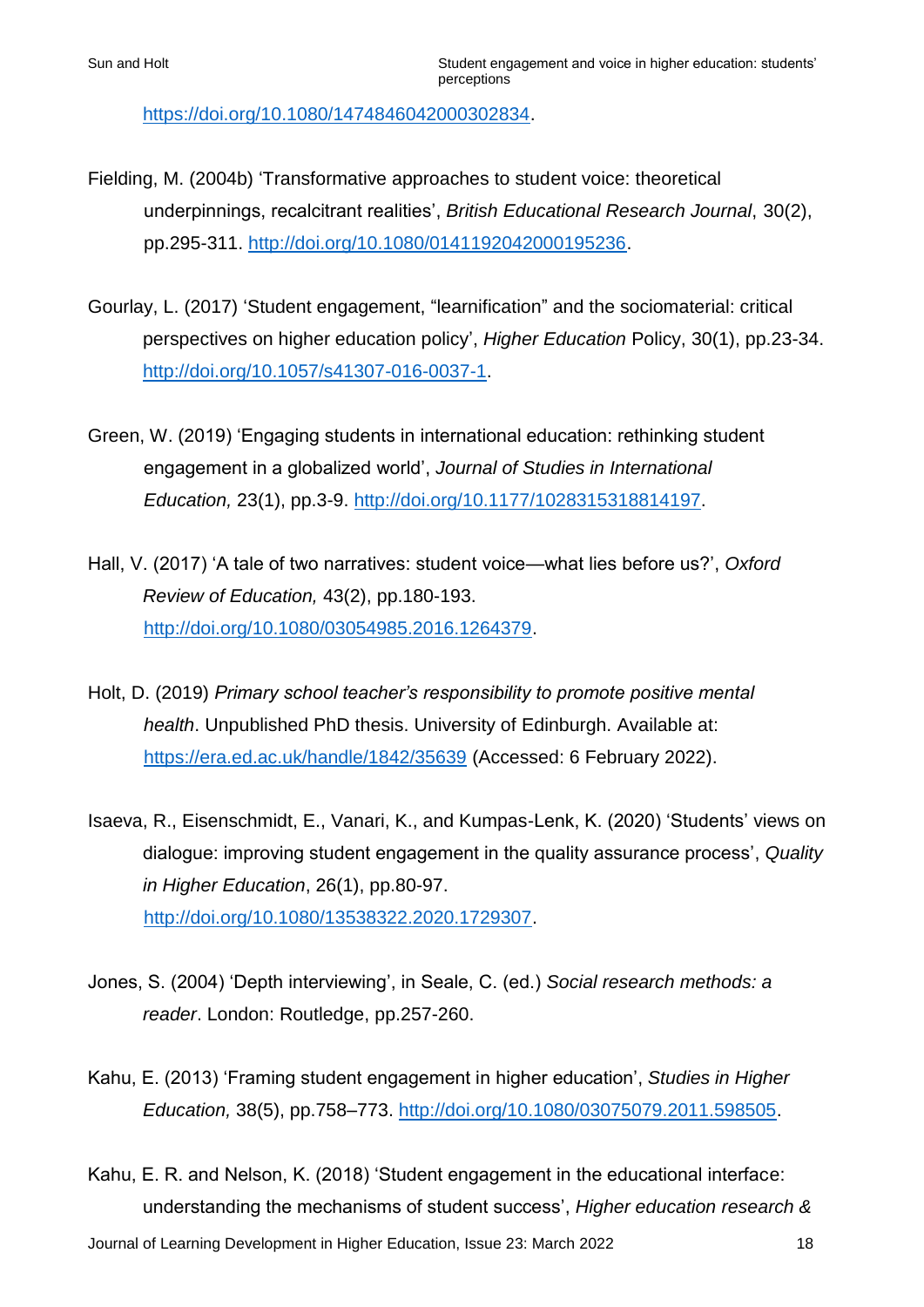[https://doi.org/10.1080/1474846042000302834.](https://doi.org/10.1080/1474846042000302834)

- Fielding, M. (2004b) 'Transformative approaches to student voice: theoretical underpinnings, recalcitrant realities', *British Educational Research Journal*, 30(2), pp.295-311. [http://doi.org/10.1080/0141192042000195236.](http://doi.org/10.1080/0141192042000195236)
- Gourlay, L. (2017) 'Student engagement, "learnification" and the sociomaterial: critical perspectives on higher education policy', *Higher Education* Policy, 30(1), pp.23-34. [http://doi.org/10.1057/s41307-016-0037-1.](http://doi.org/10.1057/s41307-016-0037-1)
- Green, W. (2019) 'Engaging students in international education: rethinking student engagement in a globalized world', *Journal of Studies in International Education,* 23(1), pp.3-9. [http://doi.org/10.1177/1028315318814197.](http://doi.org/10.1177/1028315318814197)
- Hall, V. (2017) 'A tale of two narratives: student voice—what lies before us?', *Oxford Review of Education,* 43(2), pp.180-193. [http://doi.org/10.1080/03054985.2016.1264379.](http://doi.org/10.1080/03054985.2016.1264379)
- Holt, D. (2019) *Primary school teacher's responsibility to promote positive mental health*. Unpublished PhD thesis. University of Edinburgh. Available at: <https://era.ed.ac.uk/handle/1842/35639> (Accessed: 6 February 2022).
- Isaeva, R., Eisenschmidt, E., Vanari, K., and Kumpas-Lenk, K. (2020) 'Students' views on dialogue: improving student engagement in the quality assurance process', *Quality in Higher Education*, 26(1), pp.80-97. [http://doi.org/10.1080/13538322.2020.1729307.](http://doi.org/10.1080/13538322.2020.1729307)
- Jones, S. (2004) 'Depth interviewing', in Seale, C. (ed.) *Social research methods: a reader*. London: Routledge, pp.257-260.
- Kahu, E. (2013) 'Framing student engagement in higher education', *Studies in Higher Education,* 38(5), pp.758–773. [http://doi.org/10.1080/03075079.2011.598505.](http://doi.org/10.1080/03075079.2011.598505)
- Kahu, E. R. and Nelson, K. (2018) 'Student engagement in the educational interface: understanding the mechanisms of student success', *Higher education research &*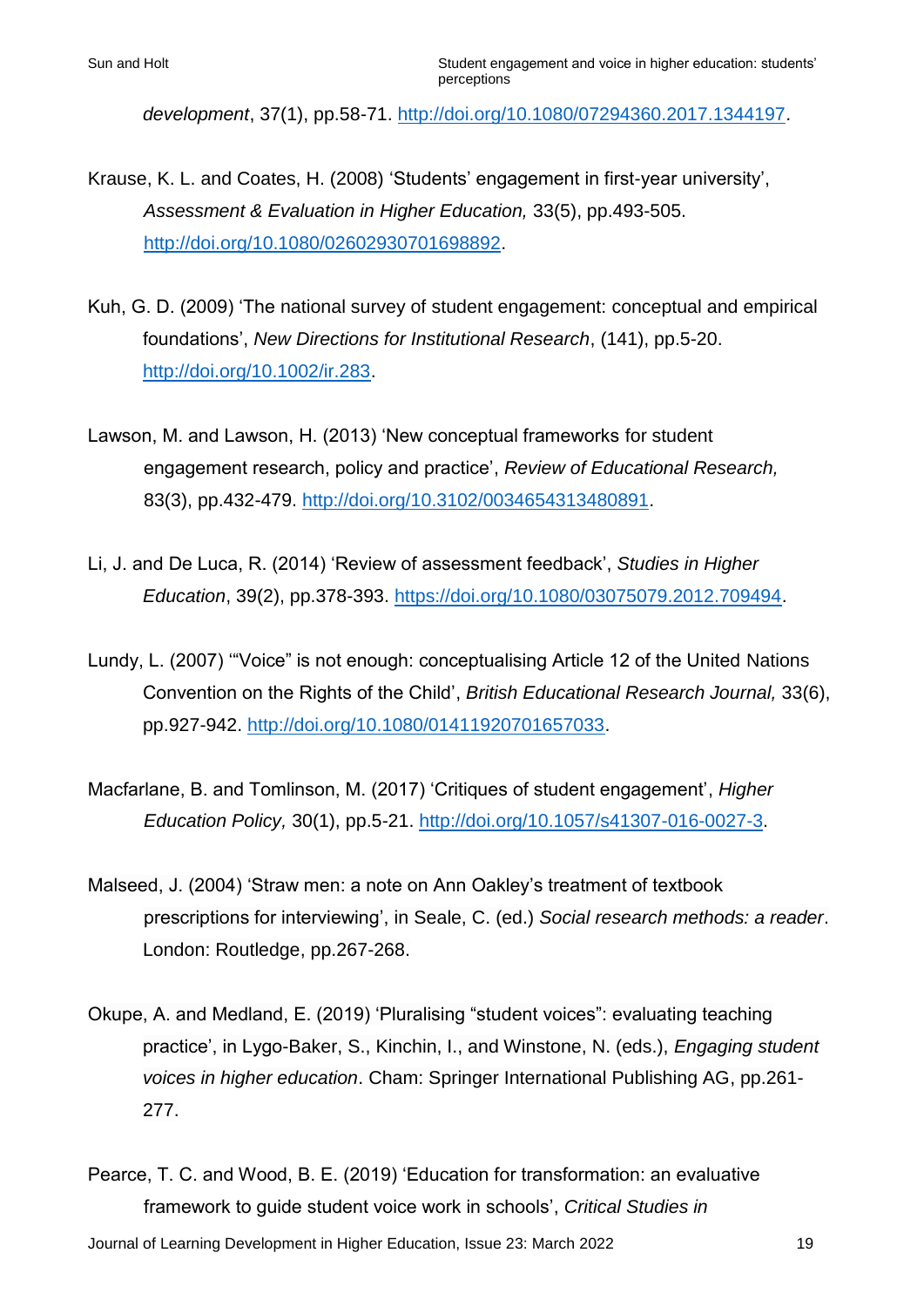*development*, 37(1), pp.58-71. [http://doi.org/10.1080/07294360.2017.1344197.](http://doi.org/10.1080/07294360.2017.1344197)

- Krause, K. L. and Coates, H. (2008) 'Students' engagement in first-year university', *Assessment & Evaluation in Higher Education,* 33(5), pp.493-505. [http://doi.org/10.1080/02602930701698892.](http://doi.org/10.1080/02602930701698892)
- Kuh, G. D. (2009) 'The national survey of student engagement: conceptual and empirical foundations', *New Directions for Institutional Research*, (141), pp.5-20. [http://doi.org/10.1002/ir.283.](http://doi.org/10.1002/ir.283)
- Lawson, M. and Lawson, H. (2013) 'New conceptual frameworks for student engagement research, policy and practice', *Review of Educational Research,*  83(3), pp.432-479. [http://doi.org/10.3102/0034654313480891.](http://doi.org/10.3102/0034654313480891)
- Li, J. and De Luca, R. (2014) 'Review of assessment feedback', *Studies in Higher Education*, 39(2), pp.378-393. https://doi.org/10.1080/03075079.2012.709494.
- Lundy, L. (2007) '"Voice" is not enough: conceptualising Article 12 of the United Nations Convention on the Rights of the Child', *British Educational Research Journal,* 33(6), pp.927-942. [http://doi.org/10.1080/01411920701657033.](http://doi.org/10.1080/01411920701657033)
- Macfarlane, B. and Tomlinson, M. (2017) 'Critiques of student engagement', *Higher Education Policy,* 30(1), pp.5-21. [http://doi.org/10.1057/s41307-016-0027-3.](http://doi.org/10.1057/s41307-016-0027-3)
- Malseed, J. (2004) 'Straw men: a note on Ann Oakley's treatment of textbook prescriptions for interviewing', in Seale, C. (ed.) *Social research methods: a reader*. London: Routledge, pp.267-268.
- Okupe, A. and Medland, E. (2019) 'Pluralising "student voices": evaluating teaching practice', in Lygo-Baker, S., Kinchin, I., and Winstone, N. (eds.), *Engaging student voices in higher education*. Cham: Springer International Publishing AG, pp.261- 277.
- Pearce, T. C. and Wood, B. E. (2019) 'Education for transformation: an evaluative framework to guide student voice work in schools', *Critical Studies in*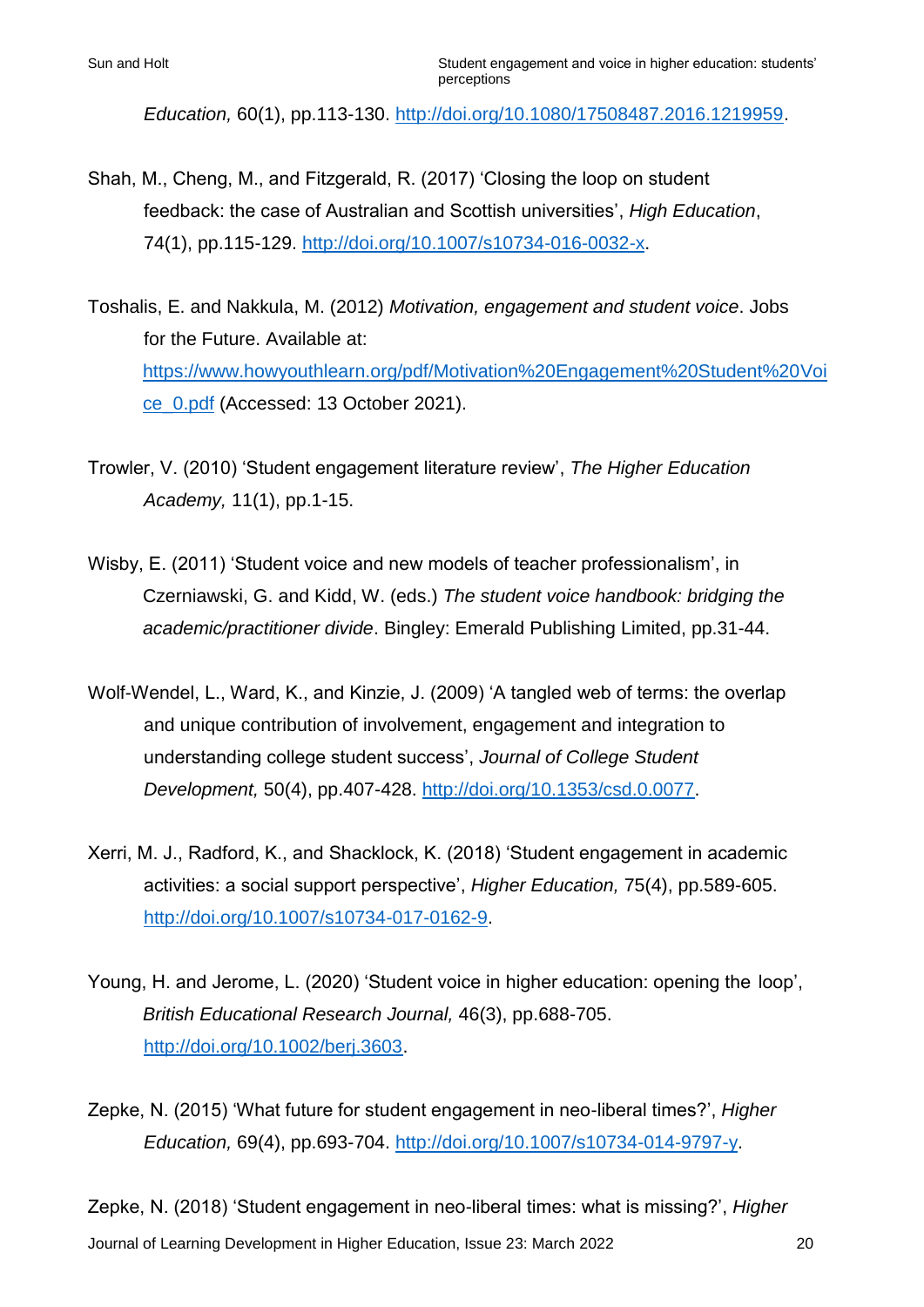*Education,* 60(1), pp.113-130. [http://doi.org/10.1080/17508487.2016.1219959.](http://doi.org/10.1080/17508487.2016.1219959)

- Shah, M., Cheng, M., and Fitzgerald, R. (2017) 'Closing the loop on student feedback: the case of Australian and Scottish universities', *High Education*, 74(1), pp.115-129. [http://doi.org/10.1007/s10734-016-0032-x.](http://doi.org/10.1007/s10734-016-0032-x)
- Toshalis, E. and Nakkula, M. (2012) *Motivation, engagement and student voice*. Jobs for the Future. Available at: [https://www.howyouthlearn.org/pdf/Motivation%20Engagement%20Student%20V](https://www.howyouthlearn.org/pdf/Motivation%20Engagement%20Student)oi ce\_0.pdf (Accessed: 13 October 2021).
- Trowler, V. (2010) 'Student engagement literature review', *The Higher Education Academy,* 11(1), pp.1-15.
- Wisby, E. (2011) 'Student voice and new models of teacher professionalism', in Czerniawski, G. and Kidd, W. (eds.) *The student voice handbook: bridging the academic/practitioner divide*. Bingley: Emerald Publishing Limited, pp.31-44.
- Wolf-Wendel, L., Ward, K., and Kinzie, J. (2009) 'A tangled web of terms: the overlap and unique contribution of involvement, engagement and integration to understanding college student success', *Journal of College Student Development,* 50(4), pp.407-428. [http://doi.org/10.1353/csd.0.0077.](http://doi.org/10.1353/csd.0.0077)
- Xerri, M. J., Radford, K., and Shacklock, K. (2018) 'Student engagement in academic activities: a social support perspective', *Higher Education,* 75(4), pp.589-605. [http://doi.org/10.1007/s10734-017-0162-9.](http://doi.org/10.1007/s10734-017-0162-9)
- Young, H. and Jerome, L. (2020) 'Student voice in higher education: opening the loop', *British Educational Research Journal,* 46(3), pp.688-705. [http://doi.org/10.1002/berj.3603.](http://doi.org/10.1002/berj.3603)

Zepke, N. (2015) 'What future for student engagement in neo-liberal times?', *Higher Education,* 69(4), pp.693-704. [http://doi.org/10.1007/s10734-014-9797-y.](http://doi.org/10.1007/s10734-014-9797-y)

Journal of Learning Development in Higher Education, Issue 23: March 2022 20 Zepke, N. (2018) 'Student engagement in neo-liberal times: what is missing?', *Higher*